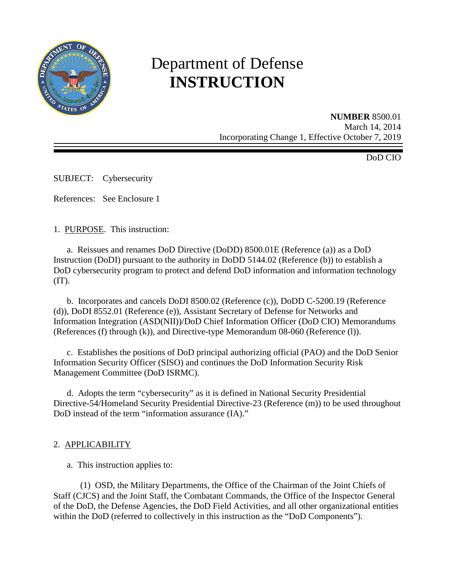

# Department of Defense **INSTRUCTION**

**NUMBER** 8500.01 March 14, 2014 Incorporating Change 1, Effective October 7, 2019

DoD CIO

SUBJECT: Cybersecurity

References: See Enclosure 1

1. PURPOSE. This instruction:

a. Reissues and renames DoD Directive (DoDD) 8500.01E (Reference (a)) as a DoD Instruction (DoDI) pursuant to the authority in DoDD 5144.02 (Reference (b)) to establish a DoD cybersecurity program to protect and defend DoD information and information technology  $(TT)$ .

 b. Incorporates and cancels DoDI 8500.02 (Reference (c)), DoDD C-5200.19 (Reference (d)), DoDI 8552.01 (Reference (e)), Assistant Secretary of Defense for Networks and Information Integration (ASD(NII))/DoD Chief Information Officer (DoD CIO) Memorandums (References (f) through (k)), and Directive-type Memorandum 08-060 (Reference (l)).

c. Establishes the positions of DoD principal authorizing official (PAO) and the DoD Senior Information Security Officer (SISO) and continues the DoD Information Security Risk Management Committee (DoD ISRMC).

 d. Adopts the term "cybersecurity" as it is defined in National Security Presidential Directive-54/Homeland Security Presidential Directive-23 (Reference (m)) to be used throughout DoD instead of the term "information assurance (IA)."

## 2. APPLICABILITY

a. This instruction applies to:

 (1) OSD, the Military Departments, the Office of the Chairman of the Joint Chiefs of Staff (CJCS) and the Joint Staff, the Combatant Commands, the Office of the Inspector General of the DoD, the Defense Agencies, the DoD Field Activities, and all other organizational entities within the DoD (referred to collectively in this instruction as the "DoD Components").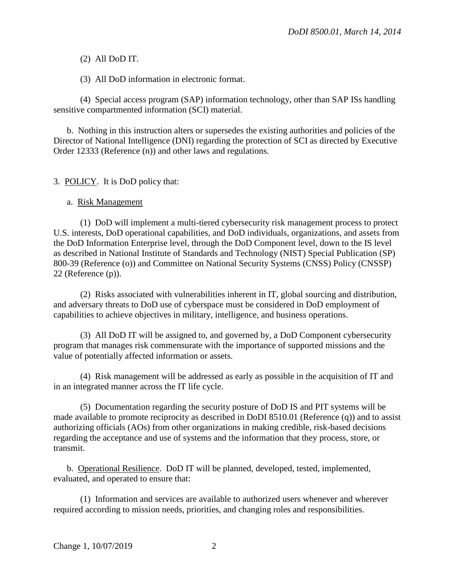(2) All DoD IT.

(3) All DoD information in electronic format.

(4) Special access program (SAP) information technology, other than SAP ISs handling sensitive compartmented information (SCI) material.

 b. Nothing in this instruction alters or supersedes the existing authorities and policies of the Director of National Intelligence (DNI) regarding the protection of SCI as directed by Executive Order 12333 (Reference (n)) and other laws and regulations.

3. POLICY. It is DoD policy that:

a. Risk Management

(1) DoD will implement a multi-tiered cybersecurity risk management process to protect U.S. interests, DoD operational capabilities, and DoD individuals, organizations, and assets from the DoD Information Enterprise level, through the DoD Component level, down to the IS level as described in National Institute of Standards and Technology (NIST) Special Publication (SP) 800-39 (Reference (o)) and Committee on National Security Systems (CNSS) Policy (CNSSP) 22 (Reference (p)).

 (2) Risks associated with vulnerabilities inherent in IT, global sourcing and distribution, and adversary threats to DoD use of cyberspace must be considered in DoD employment of capabilities to achieve objectives in military, intelligence, and business operations.

 (3) All DoD IT will be assigned to, and governed by, a DoD Component cybersecurity program that manages risk commensurate with the importance of supported missions and the value of potentially affected information or assets.

 (4) Risk management will be addressed as early as possible in the acquisition of IT and in an integrated manner across the IT life cycle.

 (5) Documentation regarding the security posture of DoD IS and PIT systems will be made available to promote reciprocity as described in DoDI 8510.01 (Reference (q)) and to assist authorizing officials (AOs) from other organizations in making credible, risk-based decisions regarding the acceptance and use of systems and the information that they process, store, or transmit.

 b. Operational Resilience. DoD IT will be planned, developed, tested, implemented, evaluated, and operated to ensure that:

 (1) Information and services are available to authorized users whenever and wherever required according to mission needs, priorities, and changing roles and responsibilities.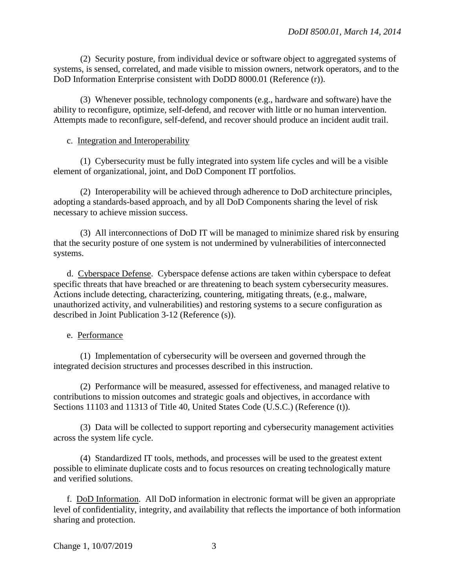(2) Security posture, from individual device or software object to aggregated systems of systems, is sensed, correlated, and made visible to mission owners, network operators, and to the DoD Information Enterprise consistent with DoDD 8000.01 (Reference (r)).

 (3) Whenever possible, technology components (e.g., hardware and software) have the ability to reconfigure, optimize, self-defend, and recover with little or no human intervention. Attempts made to reconfigure, self-defend, and recover should produce an incident audit trail.

#### c. Integration and Interoperability

(1) Cybersecurity must be fully integrated into system life cycles and will be a visible element of organizational, joint, and DoD Component IT portfolios.

 (2) Interoperability will be achieved through adherence to DoD architecture principles, adopting a standards-based approach, and by all DoD Components sharing the level of risk necessary to achieve mission success.

 (3) All interconnections of DoD IT will be managed to minimize shared risk by ensuring that the security posture of one system is not undermined by vulnerabilities of interconnected systems.

d. Cyberspace Defense. Cyberspace defense actions are taken within cyberspace to defeat specific threats that have breached or are threatening to beach system cybersecurity measures. Actions include detecting, characterizing, countering, mitigating threats, (e.g., malware, unauthorized activity, and vulnerabilities) and restoring systems to a secure configuration as described in Joint Publication 3-12 (Reference (s)).

#### e. Performance

 (1) Implementation of cybersecurity will be overseen and governed through the integrated decision structures and processes described in this instruction.

(2) Performance will be measured, assessed for effectiveness, and managed relative to contributions to mission outcomes and strategic goals and objectives, in accordance with Sections 11103 and 11313 of Title 40, United States Code (U.S.C.) (Reference (t)).

(3) Data will be collected to support reporting and cybersecurity management activities across the system life cycle.

(4) Standardized IT tools, methods, and processes will be used to the greatest extent possible to eliminate duplicate costs and to focus resources on creating technologically mature and verified solutions.

f. DoD Information. All DoD information in electronic format will be given an appropriate level of confidentiality, integrity, and availability that reflects the importance of both information sharing and protection.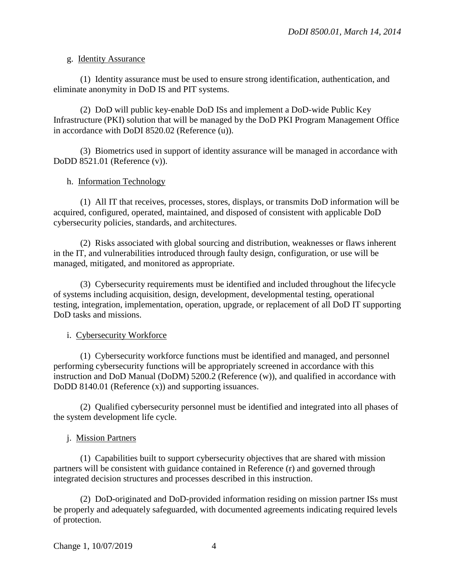#### g. Identity Assurance

 (1) Identity assurance must be used to ensure strong identification, authentication, and eliminate anonymity in DoD IS and PIT systems.

 (2) DoD will public key-enable DoD ISs and implement a DoD-wide Public Key Infrastructure (PKI) solution that will be managed by the DoD PKI Program Management Office in accordance with DoDI 8520.02 (Reference (u)).

 (3) Biometrics used in support of identity assurance will be managed in accordance with DoDD 8521.01 (Reference (v)).

#### h. Information Technology

 (1) All IT that receives, processes, stores, displays, or transmits DoD information will be acquired, configured, operated, maintained, and disposed of consistent with applicable DoD cybersecurity policies, standards, and architectures.

(2) Risks associated with global sourcing and distribution, weaknesses or flaws inherent in the IT, and vulnerabilities introduced through faulty design, configuration, or use will be managed, mitigated, and monitored as appropriate.

 (3) Cybersecurity requirements must be identified and included throughout the lifecycle of systems including acquisition, design, development, developmental testing, operational testing, integration, implementation, operation, upgrade, or replacement of all DoD IT supporting DoD tasks and missions.

## i. Cybersecurity Workforce

 (1) Cybersecurity workforce functions must be identified and managed, and personnel performing cybersecurity functions will be appropriately screened in accordance with this instruction and DoD Manual (DoDM) 5200.2 (Reference (w)), and qualified in accordance with DoDD 8140.01 (Reference (x)) and supporting issuances.

 (2) Qualified cybersecurity personnel must be identified and integrated into all phases of the system development life cycle.

## j. Mission Partners

(1) Capabilities built to support cybersecurity objectives that are shared with mission partners will be consistent with guidance contained in Reference (r) and governed through integrated decision structures and processes described in this instruction.

 (2) DoD-originated and DoD-provided information residing on mission partner ISs must be properly and adequately safeguarded, with documented agreements indicating required levels of protection.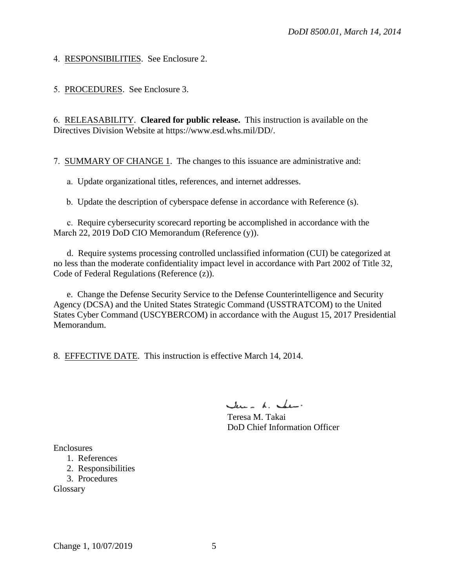4. RESPONSIBILITIES. See Enclosure 2.

5. PROCEDURES. See Enclosure 3.

6. RELEASABILITY. **Cleared for public release.** This instruction is available on the Directives Division Website at https://www.esd.whs.mil/DD/.

7. SUMMARY OF CHANGE 1. The changes to this issuance are administrative and:

a. Update organizational titles, references, and internet addresses.

b. Update the description of cyberspace defense in accordance with Reference (s).

c. Require cybersecurity scorecard reporting be accomplished in accordance with the March 22, 2019 DoD CIO Memorandum (Reference (y)).

d. Require systems processing controlled unclassified information (CUI) be categorized at no less than the moderate confidentiality impact level in accordance with Part 2002 of Title 32, Code of Federal Regulations (Reference (z)).

e. Change the Defense Security Service to the Defense Counterintelligence and Security Agency (DCSA) and the United States Strategic Command (USSTRATCOM) to the United States Cyber Command (USCYBERCOM) in accordance with the August 15, 2017 Presidential Memorandum.

8. EFFECTIVE DATE. This instruction is effective March 14, 2014.

June L. Jun.

Teresa M. Takai DoD Chief Information Officer

Enclosures

1. References

2. Responsibilities

3. Procedures

Glossary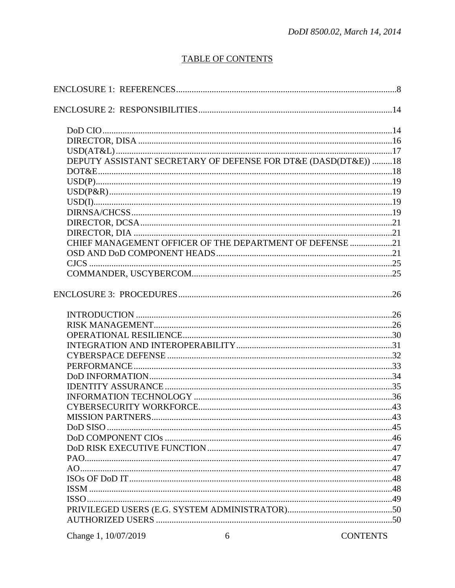# **TABLE OF CONTENTS**

| DEPUTY ASSISTANT SECRETARY OF DEFENSE FOR DT&E (DASD(DT&E)) 18<br>CHIEF MANAGEMENT OFFICER OF THE DEPARTMENT OF DEFENSE 21<br>Change 1, 10/07/2019<br><b>CONTENTS</b><br>6 |  |
|----------------------------------------------------------------------------------------------------------------------------------------------------------------------------|--|
|                                                                                                                                                                            |  |
|                                                                                                                                                                            |  |
|                                                                                                                                                                            |  |
|                                                                                                                                                                            |  |
|                                                                                                                                                                            |  |
|                                                                                                                                                                            |  |
|                                                                                                                                                                            |  |
|                                                                                                                                                                            |  |
|                                                                                                                                                                            |  |
|                                                                                                                                                                            |  |
|                                                                                                                                                                            |  |
|                                                                                                                                                                            |  |
|                                                                                                                                                                            |  |
|                                                                                                                                                                            |  |
|                                                                                                                                                                            |  |
|                                                                                                                                                                            |  |
|                                                                                                                                                                            |  |
|                                                                                                                                                                            |  |
|                                                                                                                                                                            |  |
|                                                                                                                                                                            |  |
|                                                                                                                                                                            |  |
|                                                                                                                                                                            |  |
|                                                                                                                                                                            |  |
|                                                                                                                                                                            |  |
|                                                                                                                                                                            |  |
|                                                                                                                                                                            |  |
|                                                                                                                                                                            |  |
|                                                                                                                                                                            |  |
|                                                                                                                                                                            |  |
|                                                                                                                                                                            |  |
|                                                                                                                                                                            |  |
|                                                                                                                                                                            |  |
|                                                                                                                                                                            |  |
|                                                                                                                                                                            |  |
|                                                                                                                                                                            |  |
|                                                                                                                                                                            |  |
|                                                                                                                                                                            |  |
|                                                                                                                                                                            |  |
|                                                                                                                                                                            |  |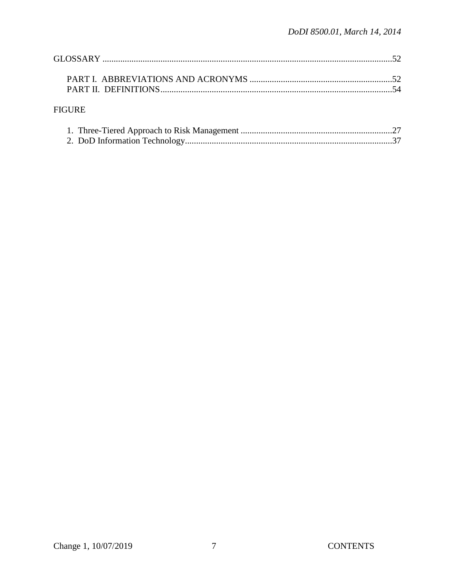# ${\hbox{FIGURE}}$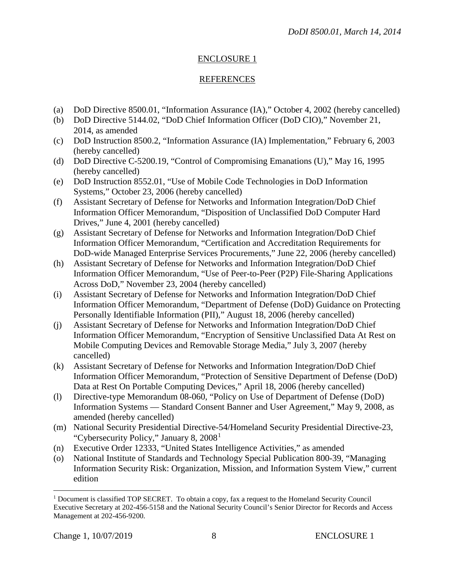## ENCLOSURE 1

## REFERENCES

- (a) DoD Directive 8500.01, "Information Assurance (IA)," October 4, 2002 (hereby cancelled)
- (b) DoD Directive 5144.02, "DoD Chief Information Officer (DoD CIO)," November 21, 2014, as amended
- (c) DoD Instruction 8500.2, "Information Assurance (IA) Implementation," February 6, 2003 (hereby cancelled)
- (d) DoD Directive C-5200.19, "Control of Compromising Emanations (U)," May 16, 1995 (hereby cancelled)
- (e) DoD Instruction 8552.01, "Use of Mobile Code Technologies in DoD Information Systems," October 23, 2006 (hereby cancelled)
- (f) Assistant Secretary of Defense for Networks and Information Integration/DoD Chief Information Officer Memorandum, "Disposition of Unclassified DoD Computer Hard Drives," June 4, 2001 (hereby cancelled)
- (g) Assistant Secretary of Defense for Networks and Information Integration/DoD Chief Information Officer Memorandum, "Certification and Accreditation Requirements for DoD-wide Managed Enterprise Services Procurements," June 22, 2006 (hereby cancelled)
- (h) Assistant Secretary of Defense for Networks and Information Integration/DoD Chief Information Officer Memorandum, "Use of Peer-to-Peer (P2P) File-Sharing Applications Across DoD," November 23, 2004 (hereby cancelled)
- (i) Assistant Secretary of Defense for Networks and Information Integration/DoD Chief Information Officer Memorandum, "Department of Defense (DoD) Guidance on Protecting Personally Identifiable Information (PII)," August 18, 2006 (hereby cancelled)
- (j) Assistant Secretary of Defense for Networks and Information Integration/DoD Chief Information Officer Memorandum, "Encryption of Sensitive Unclassified Data At Rest on Mobile Computing Devices and Removable Storage Media," July 3, 2007 (hereby cancelled)
- (k) Assistant Secretary of Defense for Networks and Information Integration/DoD Chief Information Officer Memorandum, "Protection of Sensitive Department of Defense (DoD) Data at Rest On Portable Computing Devices," April 18, 2006 (hereby cancelled)
- (l) Directive-type Memorandum 08-060, "Policy on Use of Department of Defense (DoD) Information Systems — Standard Consent Banner and User Agreement," May 9, 2008, as amended (hereby cancelled)
- (m) National Security Presidential Directive-54/Homeland Security Presidential Directive-23, "Cybersecurity Policy," January 8, 2008[1](#page-7-0)
- (n) Executive Order 12333, "United States Intelligence Activities," as amended
- (o) National Institute of Standards and Technology Special Publication 800-39, "Managing Information Security Risk: Organization, Mission, and Information System View," current edition

<span id="page-7-0"></span> $\overline{a}$ <sup>1</sup> Document is classified TOP SECRET. To obtain a copy, fax a request to the Homeland Security Council Executive Secretary at 202-456-5158 and the National Security Council's Senior Director for Records and Access Management at 202-456-9200.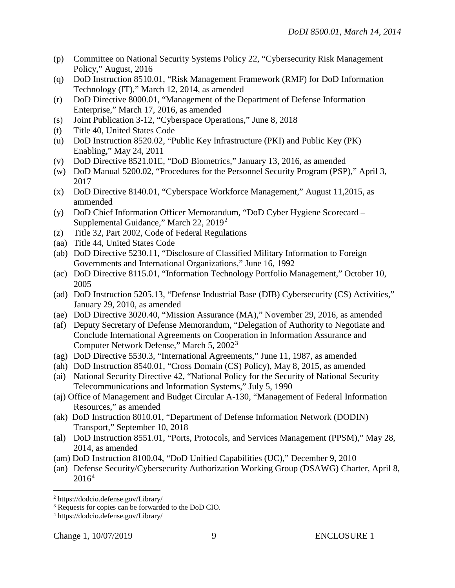- (p) Committee on National Security Systems Policy 22, "Cybersecurity Risk Management Policy," August, 2016
- (q) DoD Instruction 8510.01, "Risk Management Framework (RMF) for DoD Information Technology (IT)," March 12, 2014, as amended
- (r) DoD Directive 8000.01, "Management of the Department of Defense Information Enterprise," March 17, 2016, as amended
- (s) Joint Publication 3-12, "Cyberspace Operations," June 8, 2018
- (t) Title 40, United States Code
- (u) DoD Instruction 8520.02, "Public Key Infrastructure (PKI) and Public Key (PK) Enabling," May 24, 2011
- (v) DoD Directive 8521.01E, "DoD Biometrics," January 13, 2016, as amended
- (w) DoD Manual 5200.02, "Procedures for the Personnel Security Program (PSP)," April 3, 2017
- (x) DoD Directive 8140.01, "Cyberspace Workforce Management," August 11,2015, as ammended
- (y) DoD Chief Information Officer Memorandum, "DoD Cyber Hygiene Scorecard Supplemental Guidance," March 22, 2019[2](#page-8-0)
- (z) Title 32, Part 2002, Code of Federal Regulations
- (aa) Title 44, United States Code
- (ab) DoD Directive 5230.11, "Disclosure of Classified Military Information to Foreign Governments and International Organizations," June 16, 1992
- (ac) DoD Directive 8115.01, "Information Technology Portfolio Management," October 10, 2005
- (ad) DoD Instruction 5205.13, "Defense Industrial Base (DIB) Cybersecurity (CS) Activities," January 29, 2010, as amended
- (ae) DoD Directive 3020.40, "Mission Assurance (MA)," November 29, 2016, as amended
- (af) Deputy Secretary of Defense Memorandum, "Delegation of Authority to Negotiate and Conclude International Agreements on Cooperation in Information Assurance and Computer Network Defense," March 5, 2002[3](#page-8-1)
- (ag) DoD Directive 5530.3, "International Agreements," June 11, 1987, as amended
- (ah) DoD Instruction 8540.01, "Cross Domain (CS) Policy), May 8, 2015, as amended
- (ai) National Security Directive 42, "National Policy for the Security of National Security Telecommunications and Information Systems," July 5, 1990
- (aj) Office of Management and Budget Circular A-130, "Management of Federal Information Resources," as amended
- (ak) DoD Instruction 8010.01, "Department of Defense Information Network (DODIN) Transport," September 10, 2018
- (al) DoD Instruction 8551.01, "Ports, Protocols, and Services Management (PPSM)," May 28, 2014, as amended
- (am) DoD Instruction 8100.04, "DoD Unified Capabilities (UC)," December 9, 2010
- (an) Defense Security/Cybersecurity Authorization Working Group (DSAWG) Charter, April 8,  $2016<sup>4</sup>$  $2016<sup>4</sup>$  $2016<sup>4</sup>$

 $\overline{a}$ 

<span id="page-8-0"></span><sup>2</sup> https://dodcio.defense.gov/Library/

<span id="page-8-1"></span><sup>&</sup>lt;sup>3</sup> Requests for copies can be forwarded to the DoD CIO.

<span id="page-8-2"></span><sup>4</sup> https://dodcio.defense.gov/Library/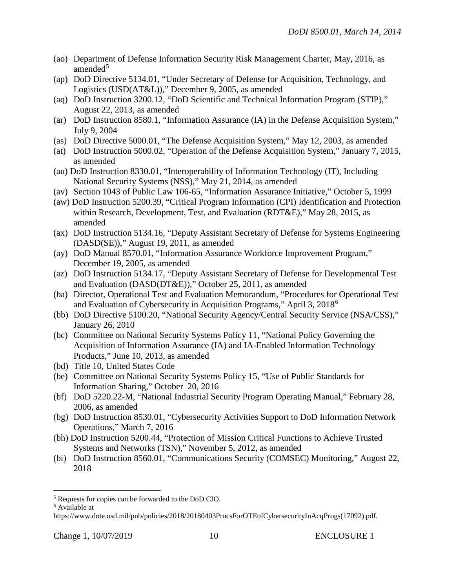- (ao) Department of Defense Information Security Risk Management Charter, May, 2016, as amended<sup>[5](#page-9-0)</sup>
- (ap) DoD Directive 5134.01, "Under Secretary of Defense for Acquisition, Technology, and Logistics (USD(AT&L))," December 9, 2005, as amended
- (aq) DoD Instruction 3200.12, "DoD Scientific and Technical Information Program (STIP)," August 22, 2013, as amended
- (ar) DoD Instruction 8580.1, "Information Assurance (IA) in the Defense Acquisition System," July 9, 2004
- (as) DoD Directive 5000.01, "The Defense Acquisition System," May 12, 2003, as amended
- (at) DoD Instruction 5000.02, "Operation of the Defense Acquisition System," January 7, 2015, as amended
- (au) DoD Instruction 8330.01, "Interoperability of Information Technology (IT), Including National Security Systems (NSS)," May 21, 2014, as amended
- (av) Section 1043 of Public Law 106-65, "Information Assurance Initiative," October 5, 1999
- (aw) DoD Instruction 5200.39, "Critical Program Information (CPI) Identification and Protection within Research, Development, Test, and Evaluation (RDT&E)," May 28, 2015, as amended
- (ax) DoD Instruction 5134.16, "Deputy Assistant Secretary of Defense for Systems Engineering (DASD(SE))," August 19, 2011, as amended
- (ay) DoD Manual 8570.01, "Information Assurance Workforce Improvement Program," December 19, 2005, as amended
- (az) DoD Instruction 5134.17, "Deputy Assistant Secretary of Defense for Developmental Test and Evaluation (DASD(DT&E))," October 25, 2011, as amended
- (ba) Director, Operational Test and Evaluation Memorandum, "Procedures for Operational Test and Evaluation of Cybersecurity in Acquisition Programs," April 3, 2018[6](#page-9-1)
- (bb) DoD Directive 5100.20, "National Security Agency/Central Security Service (NSA/CSS)," January 26, 2010
- (bc) Committee on National Security Systems Policy 11, "National Policy Governing the Acquisition of Information Assurance (IA) and IA-Enabled Information Technology Products," June 10, 2013, as amended
- (bd) Title 10, United States Code
- (be) Committee on National Security Systems Policy 15, "Use of Public Standards for Information Sharing," October 20, 2016
- (bf) DoD 5220.22-M, "National Industrial Security Program Operating Manual," February 28, 2006, as amended
- (bg) DoD Instruction 8530.01, "Cybersecurity Activities Support to DoD Information Network Operations," March 7, 2016
- (bh) DoD Instruction 5200.44, "Protection of Mission Critical Functions to Achieve Trusted Systems and Networks (TSN)," November 5, 2012, as amended
- (bi) DoD Instruction 8560.01, "Communications Security (COMSEC) Monitoring," August 22, 2018

 $\overline{a}$ 

<span id="page-9-0"></span><sup>5</sup> Requests for copies can be forwarded to the DoD CIO.

<span id="page-9-1"></span><sup>6</sup> Available at

https://www.dote.osd.mil/pub/policies/2018/20180403ProcsForOTEofCybersecurityInAcqProgs(17092).pdf.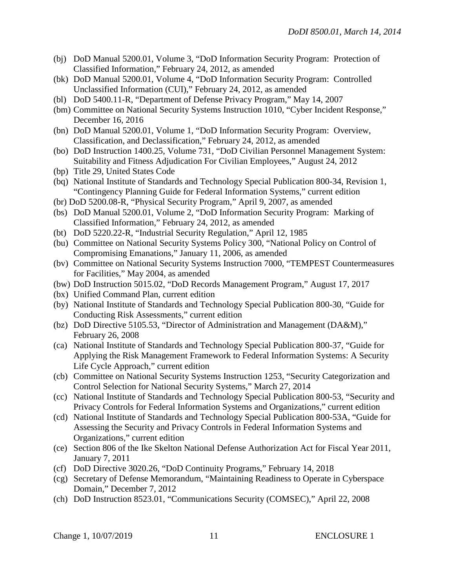- (bj) DoD Manual 5200.01, Volume 3, "DoD Information Security Program: Protection of Classified Information," February 24, 2012, as amended
- (bk) DoD Manual 5200.01, Volume 4, "DoD Information Security Program: Controlled Unclassified Information (CUI)," February 24, 2012, as amended
- (bl) DoD 5400.11-R, "Department of Defense Privacy Program," May 14, 2007
- (bm) Committee on National Security Systems Instruction 1010, "Cyber Incident Response," December 16, 2016
- (bn) DoD Manual 5200.01, Volume 1, "DoD Information Security Program: Overview, Classification, and Declassification," February 24, 2012, as amended
- (bo) DoD Instruction 1400.25, Volume 731, "DoD Civilian Personnel Management System: Suitability and Fitness Adjudication For Civilian Employees," August 24, 2012
- (bp) Title 29, United States Code
- (bq) National Institute of Standards and Technology Special Publication 800-34, Revision 1, "Contingency Planning Guide for Federal Information Systems," current edition
- (br) DoD 5200.08-R, "Physical Security Program," April 9, 2007, as amended
- (bs) DoD Manual 5200.01, Volume 2, "DoD Information Security Program: Marking of Classified Information," February 24, 2012, as amended
- (bt) DoD 5220.22-R, "Industrial Security Regulation," April 12, 1985
- (bu) Committee on National Security Systems Policy 300, "National Policy on Control of Compromising Emanations," January 11, 2006, as amended
- (bv) Committee on National Security Systems Instruction 7000, "TEMPEST Countermeasures for Facilities," May 2004, as amended
- (bw) DoD Instruction 5015.02, "DoD Records Management Program," August 17, 2017
- (bx) Unified Command Plan, current edition
- (by) National Institute of Standards and Technology Special Publication 800-30, "Guide for Conducting Risk Assessments," current edition
- (bz) DoD Directive 5105.53, "Director of Administration and Management (DA&M)," February 26, 2008
- (ca) National Institute of Standards and Technology Special Publication 800-37, "Guide for Applying the Risk Management Framework to Federal Information Systems: A Security Life Cycle Approach," current edition
- (cb) Committee on National Security Systems Instruction 1253, "Security Categorization and Control Selection for National Security Systems," March 27, 2014
- (cc) National Institute of Standards and Technology Special Publication 800-53, "Security and Privacy Controls for Federal Information Systems and Organizations," current edition
- (cd) National Institute of Standards and Technology Special Publication 800-53A, "Guide for Assessing the Security and Privacy Controls in Federal Information Systems and Organizations," current edition
- (ce) Section 806 of the Ike Skelton National Defense Authorization Act for Fiscal Year 2011, January 7, 2011
- (cf) DoD Directive 3020.26, "DoD Continuity Programs," February 14, 2018
- (cg) Secretary of Defense Memorandum, "Maintaining Readiness to Operate in Cyberspace Domain," December 7, 2012
- (ch) DoD Instruction 8523.01, "Communications Security (COMSEC)," April 22, 2008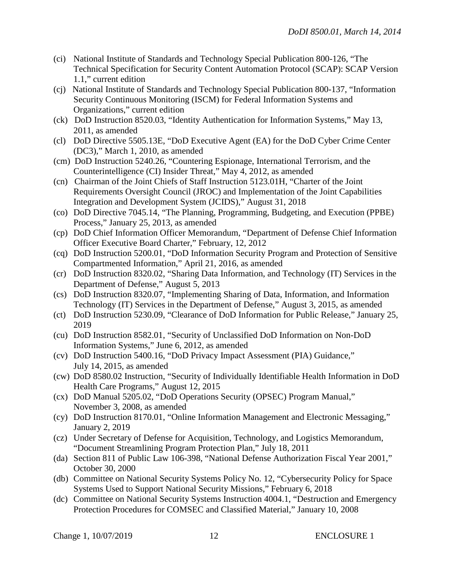- (ci) National Institute of Standards and Technology Special Publication 800-126, "The Technical Specification for Security Content Automation Protocol (SCAP): SCAP Version 1.1," current edition
- (cj) National Institute of Standards and Technology Special Publication 800-137, "Information Security Continuous Monitoring (ISCM) for Federal Information Systems and Organizations," current edition
- (ck) DoD Instruction 8520.03, "Identity Authentication for Information Systems," May 13, 2011, as amended
- (cl) DoD Directive 5505.13E, "DoD Executive Agent (EA) for the DoD Cyber Crime Center (DC3)," March 1, 2010, as amended
- (cm) DoD Instruction 5240.26, "Countering Espionage, International Terrorism, and the Counterintelligence (CI) Insider Threat," May 4, 2012, as amended
- (cn) Chairman of the Joint Chiefs of Staff Instruction 5123.01H, "Charter of the Joint Requirements Oversight Council (JROC) and Implementation of the Joint Capabilities Integration and Development System (JCIDS)," August 31, 2018
- (co) DoD Directive 7045.14, "The Planning, Programming, Budgeting, and Execution (PPBE) Process," January 25, 2013, as amended
- (cp) DoD Chief Information Officer Memorandum, "Department of Defense Chief Information Officer Executive Board Charter," February, 12, 2012
- (cq) DoD Instruction 5200.01, "DoD Information Security Program and Protection of Sensitive Compartmented Information," April 21, 2016, as amended
- (cr) DoD Instruction 8320.02, "Sharing Data Information, and Technology (IT) Services in the Department of Defense," August 5, 2013
- (cs) DoD Instruction 8320.07, "Implementing Sharing of Data, Information, and Information Technology (IT) Services in the Department of Defense," August 3, 2015, as amended
- (ct) DoD Instruction 5230.09, "Clearance of DoD Information for Public Release," January 25, 2019
- (cu) DoD Instruction 8582.01, "Security of Unclassified DoD Information on Non-DoD Information Systems," June 6, 2012, as amended
- (cv) DoD Instruction 5400.16, "DoD Privacy Impact Assessment (PIA) Guidance," July 14, 2015, as amended
- (cw) DoD 8580.02 Instruction, "Security of Individually Identifiable Health Information in DoD Health Care Programs," August 12, 2015
- (cx) DoD Manual 5205.02, "DoD Operations Security (OPSEC) Program Manual," November 3, 2008, as amended
- (cy) DoD Instruction 8170.01, "Online Information Management and Electronic Messaging," January 2, 2019
- (cz) Under Secretary of Defense for Acquisition, Technology, and Logistics Memorandum, "Document Streamlining Program Protection Plan," July 18, 2011
- (da) Section 811 of Public Law 106-398, "National Defense Authorization Fiscal Year 2001," October 30, 2000
- (db) Committee on National Security Systems Policy No. 12, "Cybersecurity Policy for Space Systems Used to Support National Security Missions," February 6, 2018
- (dc) Committee on National Security Systems Instruction 4004.1, "Destruction and Emergency Protection Procedures for COMSEC and Classified Material," January 10, 2008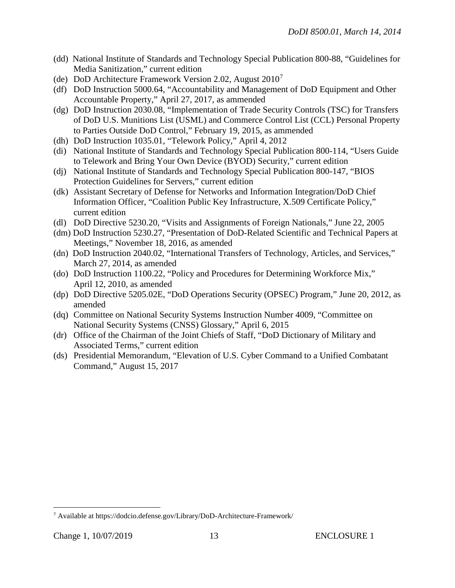- (dd) National Institute of Standards and Technology Special Publication 800-88, "Guidelines for Media Sanitization," current edition
- (de) DoD Architecture Framework Version 2.02, August  $2010<sup>7</sup>$  $2010<sup>7</sup>$  $2010<sup>7</sup>$
- (df) DoD Instruction 5000.64, "Accountability and Management of DoD Equipment and Other Accountable Property," April 27, 2017, as ammended
- (dg) DoD Instruction 2030.08, "Implementation of Trade Security Controls (TSC) for Transfers of DoD U.S. Munitions List (USML) and Commerce Control List (CCL) Personal Property to Parties Outside DoD Control," February 19, 2015, as ammended
- (dh) DoD Instruction 1035.01, "Telework Policy," April 4, 2012
- (di) National Institute of Standards and Technology Special Publication 800-114, "Users Guide to Telework and Bring Your Own Device (BYOD) Security," current edition
- (dj) National Institute of Standards and Technology Special Publication 800-147, "BIOS Protection Guidelines for Servers," current edition
- (dk) Assistant Secretary of Defense for Networks and Information Integration/DoD Chief Information Officer, "Coalition Public Key Infrastructure, X.509 Certificate Policy," current edition
- (dl) DoD Directive 5230.20, "Visits and Assignments of Foreign Nationals," June 22, 2005
- (dm) DoD Instruction 5230.27, "Presentation of DoD-Related Scientific and Technical Papers at Meetings," November 18, 2016, as amended
- (dn) DoD Instruction 2040.02, "International Transfers of Technology, Articles, and Services," March 27, 2014, as amended
- (do) DoD Instruction 1100.22, "Policy and Procedures for Determining Workforce Mix," April 12, 2010, as amended
- (dp) DoD Directive 5205.02E, "DoD Operations Security (OPSEC) Program," June 20, 2012, as amended
- (dq) Committee on National Security Systems Instruction Number 4009, "Committee on National Security Systems (CNSS) Glossary," April 6, 2015
- (dr) Office of the Chairman of the Joint Chiefs of Staff, "DoD Dictionary of Military and Associated Terms," current edition
- (ds) Presidential Memorandum, "Elevation of U.S. Cyber Command to a Unified Combatant Command," August 15, 2017

 $\overline{a}$ 

<span id="page-12-0"></span><sup>7</sup> Available at https://dodcio.defense.gov/Library/DoD-Architecture-Framework/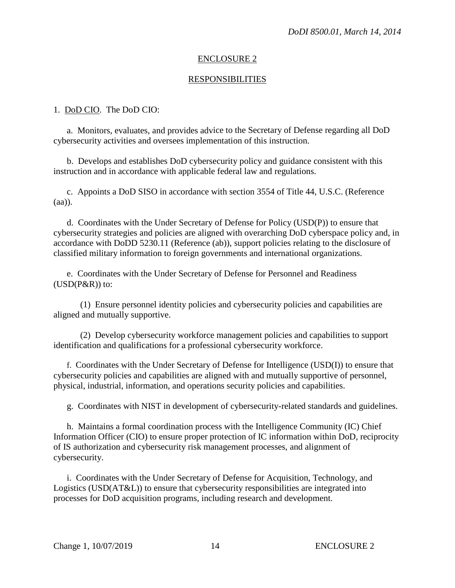#### ENCLOSURE 2

#### RESPONSIBILITIES

#### 1. DoD CIO. The DoD CIO:

a. Monitors, evaluates, and provides advice to the Secretary of Defense regarding all DoD cybersecurity activities and oversees implementation of this instruction.

 b. Develops and establishes DoD cybersecurity policy and guidance consistent with this instruction and in accordance with applicable federal law and regulations.

c. Appoints a DoD SISO in accordance with section 3554 of Title 44, U.S.C. (Reference (aa)).

 d. Coordinates with the Under Secretary of Defense for Policy (USD(P)) to ensure that cybersecurity strategies and policies are aligned with overarching DoD cyberspace policy and, in accordance with DoDD 5230.11 (Reference (ab)), support policies relating to the disclosure of classified military information to foreign governments and international organizations.

 e. Coordinates with the Under Secretary of Defense for Personnel and Readiness  $(USD(P\&R))$  to:

 (1) Ensure personnel identity policies and cybersecurity policies and capabilities are aligned and mutually supportive.

 (2) Develop cybersecurity workforce management policies and capabilities to support identification and qualifications for a professional cybersecurity workforce.

 f. Coordinates with the Under Secretary of Defense for Intelligence (USD(I)) to ensure that cybersecurity policies and capabilities are aligned with and mutually supportive of personnel, physical, industrial, information, and operations security policies and capabilities.

g. Coordinates with NIST in development of cybersecurity-related standards and guidelines.

 h. Maintains a formal coordination process with the Intelligence Community (IC) Chief Information Officer (CIO) to ensure proper protection of IC information within DoD, reciprocity of IS authorization and cybersecurity risk management processes, and alignment of cybersecurity.

 i. Coordinates with the Under Secretary of Defense for Acquisition, Technology, and Logistics (USD(AT&L)) to ensure that cybersecurity responsibilities are integrated into processes for DoD acquisition programs, including research and development.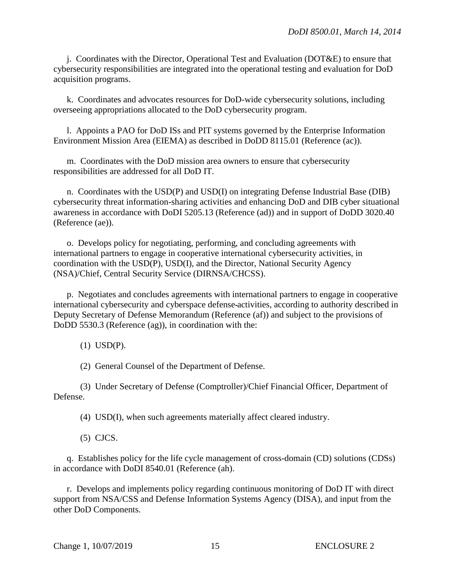j. Coordinates with the Director, Operational Test and Evaluation (DOT&E) to ensure that cybersecurity responsibilities are integrated into the operational testing and evaluation for DoD acquisition programs.

 k. Coordinates and advocates resources for DoD-wide cybersecurity solutions, including overseeing appropriations allocated to the DoD cybersecurity program.

 l. Appoints a PAO for DoD ISs and PIT systems governed by the Enterprise Information Environment Mission Area (EIEMA) as described in DoDD 8115.01 (Reference (ac)).

 m. Coordinates with the DoD mission area owners to ensure that cybersecurity responsibilities are addressed for all DoD IT.

n. Coordinates with the USD(P) and USD(I) on integrating Defense Industrial Base (DIB) cybersecurity threat information-sharing activities and enhancing DoD and DIB cyber situational awareness in accordance with DoDI 5205.13 (Reference (ad)) and in support of DoDD 3020.40 (Reference (ae)).

o. Develops policy for negotiating, performing, and concluding agreements with international partners to engage in cooperative international cybersecurity activities, in coordination with the USD(P), USD(I), and the Director, National Security Agency (NSA)/Chief, Central Security Service (DIRNSA/CHCSS).

p. Negotiates and concludes agreements with international partners to engage in cooperative international cybersecurity and cyberspace defense activities, according to authority described in Deputy Secretary of Defense Memorandum (Reference (af)) and subject to the provisions of DoDD 5530.3 (Reference (ag)), in coordination with the:

(1) USD(P).

(2) General Counsel of the Department of Defense.

(3) Under Secretary of Defense (Comptroller)/Chief Financial Officer, Department of Defense.

(4) USD(I), when such agreements materially affect cleared industry.

(5) CJCS.

q. Establishes policy for the life cycle management of cross-domain (CD) solutions (CDSs) in accordance with DoDI 8540.01 (Reference (ah).

r. Develops and implements policy regarding continuous monitoring of DoD IT with direct support from NSA/CSS and Defense Information Systems Agency (DISA), and input from the other DoD Components.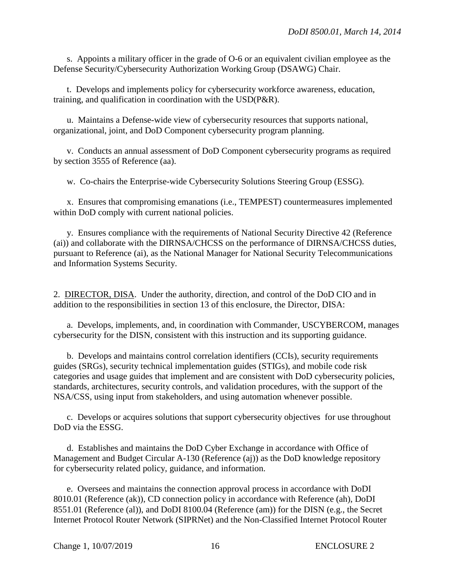s. Appoints a military officer in the grade of O-6 or an equivalent civilian employee as the Defense Security/Cybersecurity Authorization Working Group (DSAWG) Chair.

t. Develops and implements policy for cybersecurity workforce awareness, education, training, and qualification in coordination with the USD(P&R).

u. Maintains a Defense-wide view of cybersecurity resources that supports national, organizational, joint, and DoD Component cybersecurity program planning.

v. Conducts an annual assessment of DoD Component cybersecurity programs as required by section 3555 of Reference (aa).

w. Co-chairs the Enterprise-wide Cybersecurity Solutions Steering Group (ESSG).

x. Ensures that compromising emanations (i.e., TEMPEST) countermeasures implemented within DoD comply with current national policies.

y. Ensures compliance with the requirements of National Security Directive 42 (Reference (ai)) and collaborate with the DIRNSA/CHCSS on the performance of DIRNSA/CHCSS duties, pursuant to Reference (ai), as the National Manager for National Security Telecommunications and Information Systems Security.

2. DIRECTOR, DISA. Under the authority, direction, and control of the DoD CIO and in addition to the responsibilities in section 13 of this enclosure, the Director, DISA:

 a. Develops, implements, and, in coordination with Commander, USCYBERCOM, manages cybersecurity for the DISN, consistent with this instruction and its supporting guidance.

 b. Develops and maintains control correlation identifiers (CCIs), security requirements guides (SRGs), security technical implementation guides (STIGs), and mobile code risk categories and usage guides that implement and are consistent with DoD cybersecurity policies, standards, architectures, security controls, and validation procedures, with the support of the NSA/CSS, using input from stakeholders, and using automation whenever possible.

c. Develops or acquires solutions that support cybersecurity objectives for use throughout DoD via the ESSG.

d. Establishes and maintains the DoD Cyber Exchange in accordance with Office of Management and Budget Circular A-130 (Reference (aj)) as the DoD knowledge repository for cybersecurity related policy, guidance, and information.

 e. Oversees and maintains the connection approval process in accordance with DoDI 8010.01 (Reference (ak)), CD connection policy in accordance with Reference (ah), DoDI 8551.01 (Reference (al)), and DoDI 8100.04 (Reference (am)) for the DISN (e.g., the Secret Internet Protocol Router Network (SIPRNet) and the Non-Classified Internet Protocol Router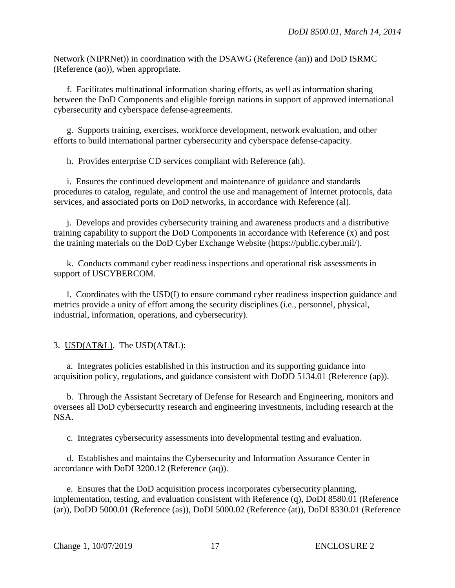Network (NIPRNet)) in coordination with the DSAWG (Reference (an)) and DoD ISRMC (Reference (ao)), when appropriate.

f. Facilitates multinational information sharing efforts, as well as information sharing between the DoD Components and eligible foreign nations in support of approved international cybersecurity and cyberspace defense agreements.

g. Supports training, exercises, workforce development, network evaluation, and other efforts to build international partner cybersecurity and cyberspace defense capacity.

h. Provides enterprise CD services compliant with Reference (ah).

i. Ensures the continued development and maintenance of guidance and standards procedures to catalog, regulate, and control the use and management of Internet protocols, data services, and associated ports on DoD networks, in accordance with Reference (al).

j. Develops and provides cybersecurity training and awareness products and a distributive training capability to support the DoD Components in accordance with Reference (x) and post the training materials on the DoD Cyber Exchange Website (https://public.cyber.mil/).

k. Conducts command cyber readiness inspections and operational risk assessments in support of USCYBERCOM.

l. Coordinates with the USD(I) to ensure command cyber readiness inspection guidance and metrics provide a unity of effort among the security disciplines (i.e., personnel, physical, industrial, information, operations, and cybersecurity).

## 3. USD(AT&L). The USD(AT&L):

a. Integrates policies established in this instruction and its supporting guidance into acquisition policy, regulations, and guidance consistent with DoDD 5134.01 (Reference (ap)).

 b. Through the Assistant Secretary of Defense for Research and Engineering, monitors and oversees all DoD cybersecurity research and engineering investments, including research at the NSA.

c. Integrates cybersecurity assessments into developmental testing and evaluation.

d. Establishes and maintains the Cybersecurity and Information Assurance Center in accordance with DoDI 3200.12 (Reference (aq)).

e. Ensures that the DoD acquisition process incorporates cybersecurity planning, implementation, testing, and evaluation consistent with Reference (q), DoDI 8580.01 (Reference (ar)), DoDD 5000.01 (Reference (as)), DoDI 5000.02 (Reference (at)), DoDI 8330.01 (Reference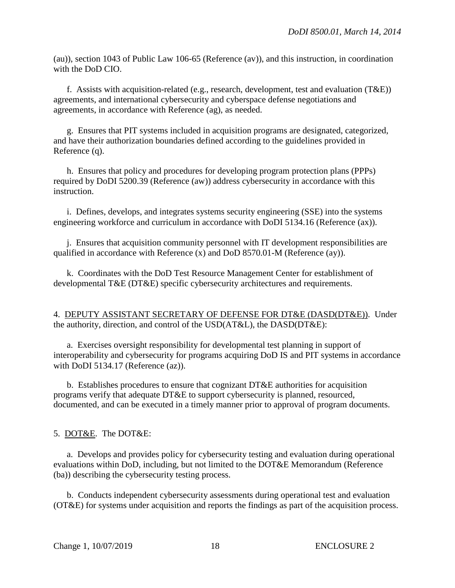(au)), section 1043 of Public Law 106-65 (Reference (av)), and this instruction, in coordination with the DoD CIO.

f. Assists with acquisition-related (e.g., research, development, test and evaluation (T&E)) agreements, and international cybersecurity and cyberspace defense negotiations and agreements, in accordance with Reference (ag), as needed.

 g. Ensures that PIT systems included in acquisition programs are designated, categorized, and have their authorization boundaries defined according to the guidelines provided in Reference (q).

h. Ensures that policy and procedures for developing program protection plans (PPPs) required by DoDI 5200.39 (Reference (aw)) address cybersecurity in accordance with this instruction.

i. Defines, develops, and integrates systems security engineering (SSE) into the systems engineering workforce and curriculum in accordance with DoDI 5134.16 (Reference (ax)).

j. Ensures that acquisition community personnel with IT development responsibilities are qualified in accordance with Reference (x) and DoD 8570.01-M (Reference (ay)).

k. Coordinates with the DoD Test Resource Management Center for establishment of developmental T&E (DT&E) specific cybersecurity architectures and requirements.

4. DEPUTY ASSISTANT SECRETARY OF DEFENSE FOR DT&E (DASD(DT&E)). Under the authority, direction, and control of the USD(AT&L), the DASD(DT&E):

a. Exercises oversight responsibility for developmental test planning in support of interoperability and cybersecurity for programs acquiring DoD IS and PIT systems in accordance with DoDI 5134.17 (Reference (az)).

b. Establishes procedures to ensure that cognizant DT&E authorities for acquisition programs verify that adequate DT&E to support cybersecurity is planned, resourced, documented, and can be executed in a timely manner prior to approval of program documents.

5. DOT&E. The DOT&E:

 a. Develops and provides policy for cybersecurity testing and evaluation during operational evaluations within DoD, including, but not limited to the DOT&E Memorandum (Reference (ba)) describing the cybersecurity testing process.

 b. Conducts independent cybersecurity assessments during operational test and evaluation (OT&E) for systems under acquisition and reports the findings as part of the acquisition process.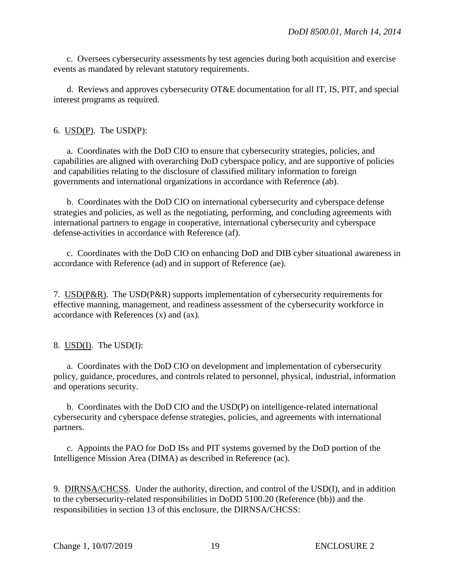c. Oversees cybersecurity assessments by test agencies during both acquisition and exercise events as mandated by relevant statutory requirements.

d. Reviews and approves cybersecurity OT&E documentation for all IT, IS, PIT, and special interest programs as required.

6. USD(P). The USD(P):

 a. Coordinates with the DoD CIO to ensure that cybersecurity strategies, policies, and capabilities are aligned with overarching DoD cyberspace policy, and are supportive of policies and capabilities relating to the disclosure of classified military information to foreign governments and international organizations in accordance with Reference (ab).

 b. Coordinates with the DoD CIO on international cybersecurity and cyberspace defense strategies and policies, as well as the negotiating, performing, and concluding agreements with international partners to engage in cooperative, international cybersecurity and cyberspace defense activities in accordance with Reference (af).

c. Coordinates with the DoD CIO on enhancing DoD and DIB cyber situational awareness in accordance with Reference (ad) and in support of Reference (ae).

7. USD(P&R). The USD(P&R) supports implementation of cybersecurity requirements for effective manning, management, and readiness assessment of the cybersecurity workforce in accordance with References (x) and (ax).

## 8. USD(I). The USD(I):

a. Coordinates with the DoD CIO on development and implementation of cybersecurity policy, guidance, procedures, and controls related to personnel, physical, industrial, information and operations security.

 b. Coordinates with the DoD CIO and the USD(P) on intelligence-related international cybersecurity and cyberspace defense strategies, policies, and agreements with international partners.

 c. Appoints the PAO for DoD ISs and PIT systems governed by the DoD portion of the Intelligence Mission Area (DIMA) as described in Reference (ac).

9. DIRNSA/CHCSS. Under the authority, direction, and control of the USD(I), and in addition to the cybersecurity-related responsibilities in DoDD 5100.20 (Reference (bb)) and the responsibilities in section 13 of this enclosure, the DIRNSA/CHCSS: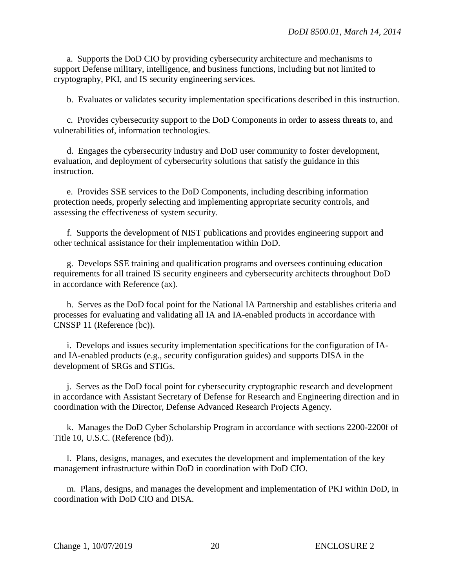a. Supports the DoD CIO by providing cybersecurity architecture and mechanisms to support Defense military, intelligence, and business functions, including but not limited to cryptography, PKI, and IS security engineering services.

b. Evaluates or validates security implementation specifications described in this instruction.

 c. Provides cybersecurity support to the DoD Components in order to assess threats to, and vulnerabilities of, information technologies.

 d. Engages the cybersecurity industry and DoD user community to foster development, evaluation, and deployment of cybersecurity solutions that satisfy the guidance in this instruction.

e. Provides SSE services to the DoD Components, including describing information protection needs, properly selecting and implementing appropriate security controls, and assessing the effectiveness of system security.

 f. Supports the development of NIST publications and provides engineering support and other technical assistance for their implementation within DoD.

g. Develops SSE training and qualification programs and oversees continuing education requirements for all trained IS security engineers and cybersecurity architects throughout DoD in accordance with Reference (ax).

h. Serves as the DoD focal point for the National IA Partnership and establishes criteria and processes for evaluating and validating all IA and IA-enabled products in accordance with CNSSP 11 (Reference (bc)).

i. Develops and issues security implementation specifications for the configuration of IAand IA-enabled products (e.g., security configuration guides) and supports DISA in the development of SRGs and STIGs.

 j. Serves as the DoD focal point for cybersecurity cryptographic research and development in accordance with Assistant Secretary of Defense for Research and Engineering direction and in coordination with the Director, Defense Advanced Research Projects Agency.

k. Manages the DoD Cyber Scholarship Program in accordance with sections 2200-2200f of Title 10, U.S.C. (Reference (bd)).

l. Plans, designs, manages, and executes the development and implementation of the key management infrastructure within DoD in coordination with DoD CIO.

m. Plans, designs, and manages the development and implementation of PKI within DoD, in coordination with DoD CIO and DISA.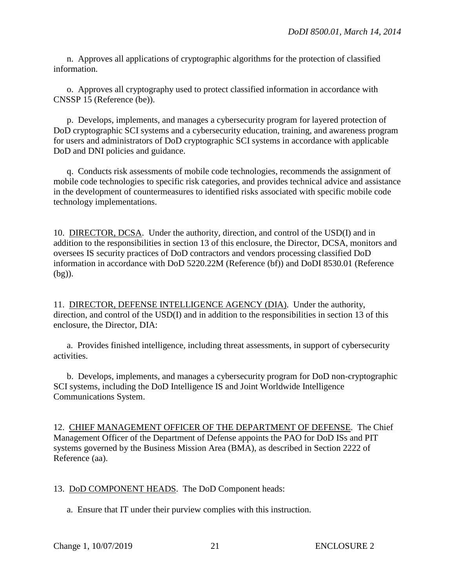n. Approves all applications of cryptographic algorithms for the protection of classified information.

o. Approves all cryptography used to protect classified information in accordance with CNSSP 15 (Reference (be)).

p. Develops, implements, and manages a cybersecurity program for layered protection of DoD cryptographic SCI systems and a cybersecurity education, training, and awareness program for users and administrators of DoD cryptographic SCI systems in accordance with applicable DoD and DNI policies and guidance.

q. Conducts risk assessments of mobile code technologies, recommends the assignment of mobile code technologies to specific risk categories, and provides technical advice and assistance in the development of countermeasures to identified risks associated with specific mobile code technology implementations.

10. DIRECTOR, DCSA. Under the authority, direction, and control of the USD(I) and in addition to the responsibilities in section 13 of this enclosure, the Director, DCSA, monitors and oversees IS security practices of DoD contractors and vendors processing classified DoD information in accordance with DoD 5220.22M (Reference (bf)) and DoDI 8530.01 (Reference (bg)).

11. DIRECTOR, DEFENSE INTELLIGENCE AGENCY (DIA). Under the authority, direction, and control of the USD(I) and in addition to the responsibilities in section 13 of this enclosure, the Director, DIA:

 a. Provides finished intelligence, including threat assessments, in support of cybersecurity activities.

b. Develops, implements, and manages a cybersecurity program for DoD non-cryptographic SCI systems, including the DoD Intelligence IS and Joint Worldwide Intelligence Communications System.

12. CHIEF MANAGEMENT OFFICER OF THE DEPARTMENT OF DEFENSE. The Chief Management Officer of the Department of Defense appoints the PAO for DoD ISs and PIT systems governed by the Business Mission Area (BMA), as described in Section 2222 of Reference (aa).

13. DoD COMPONENT HEADS. The DoD Component heads:

a. Ensure that IT under their purview complies with this instruction.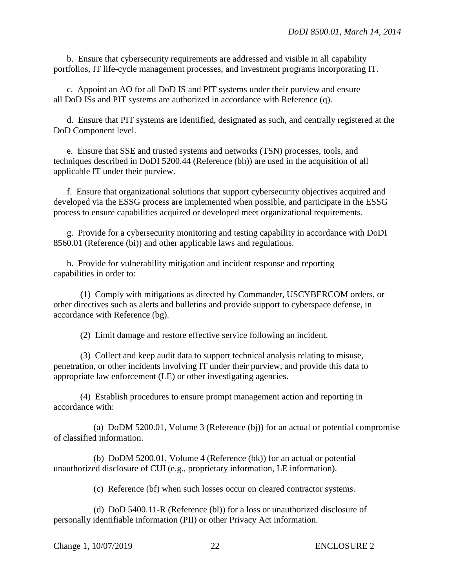b. Ensure that cybersecurity requirements are addressed and visible in all capability portfolios, IT life-cycle management processes, and investment programs incorporating IT.

c. Appoint an AO for all DoD IS and PIT systems under their purview and ensure all DoD ISs and PIT systems are authorized in accordance with Reference (q).

d. Ensure that PIT systems are identified, designated as such, and centrally registered at the DoD Component level.

e. Ensure that SSE and trusted systems and networks (TSN) processes, tools, and techniques described in DoDI 5200.44 (Reference (bh)) are used in the acquisition of all applicable IT under their purview.

f. Ensure that organizational solutions that support cybersecurity objectives acquired and developed via the ESSG process are implemented when possible, and participate in the ESSG process to ensure capabilities acquired or developed meet organizational requirements.

g. Provide for a cybersecurity monitoring and testing capability in accordance with DoDI 8560.01 (Reference (bi)) and other applicable laws and regulations.

h. Provide for vulnerability mitigation and incident response and reporting capabilities in order to:

(1) Comply with mitigations as directed by Commander, USCYBERCOM orders, or other directives such as alerts and bulletins and provide support to cyberspace defense, in accordance with Reference (bg).

(2) Limit damage and restore effective service following an incident.

(3) Collect and keep audit data to support technical analysis relating to misuse, penetration, or other incidents involving IT under their purview, and provide this data to appropriate law enforcement (LE) or other investigating agencies.

(4) Establish procedures to ensure prompt management action and reporting in accordance with:

(a) DoDM 5200.01, Volume 3 (Reference (bj)) for an actual or potential compromise of classified information.

(b) DoDM 5200.01, Volume 4 (Reference (bk)) for an actual or potential unauthorized disclosure of CUI (e.g., proprietary information, LE information).

(c) Reference (bf) when such losses occur on cleared contractor systems.

(d) DoD 5400.11-R (Reference (bl)) for a loss or unauthorized disclosure of personally identifiable information (PII) or other Privacy Act information.

```
Change 1, 10/07/2019 22 ENCLOSURE 2
```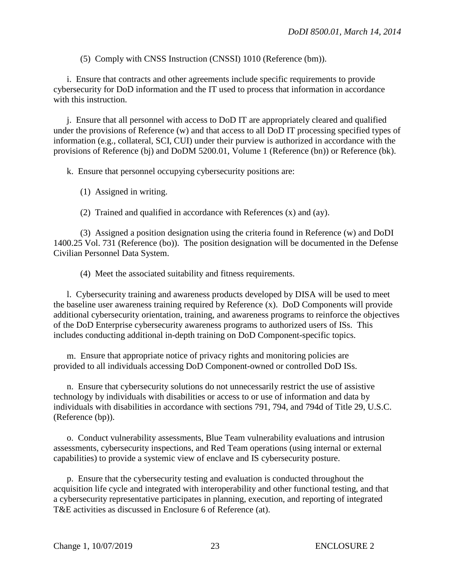(5) Comply with CNSS Instruction (CNSSI) 1010 (Reference (bm)).

i. Ensure that contracts and other agreements include specific requirements to provide cybersecurity for DoD information and the IT used to process that information in accordance with this instruction.

j. Ensure that all personnel with access to DoD IT are appropriately cleared and qualified under the provisions of Reference (w) and that access to all DoD IT processing specified types of information (e.g., collateral, SCI, CUI) under their purview is authorized in accordance with the provisions of Reference (bj) and DoDM 5200.01, Volume 1 (Reference (bn)) or Reference (bk).

k. Ensure that personnel occupying cybersecurity positions are:

- (1) Assigned in writing.
- (2) Trained and qualified in accordance with References (x) and (ay).

(3) Assigned a position designation using the criteria found in Reference (w) and DoDI 1400.25 Vol. 731 (Reference (bo)). The position designation will be documented in the Defense Civilian Personnel Data System.

(4) Meet the associated suitability and fitness requirements.

l. Cybersecurity training and awareness products developed by DISA will be used to meet the baseline user awareness training required by Reference (x). DoD Components will provide additional cybersecurity orientation, training, and awareness programs to reinforce the objectives of the DoD Enterprise cybersecurity awareness programs to authorized users of ISs. This includes conducting additional in-depth training on DoD Component-specific topics.

m. Ensure that appropriate notice of privacy rights and monitoring policies are provided to all individuals accessing DoD Component-owned or controlled DoD ISs.

n. Ensure that cybersecurity solutions do not unnecessarily restrict the use of assistive technology by individuals with disabilities or access to or use of information and data by individuals with disabilities in accordance with sections 791, 794, and 794d of Title 29, U.S.C. (Reference (bp)).

o. Conduct vulnerability assessments, Blue Team vulnerability evaluations and intrusion assessments, cybersecurity inspections, and Red Team operations (using internal or external capabilities) to provide a systemic view of enclave and IS cybersecurity posture.

p. Ensure that the cybersecurity testing and evaluation is conducted throughout the acquisition life cycle and integrated with interoperability and other functional testing, and that a cybersecurity representative participates in planning, execution, and reporting of integrated T&E activities as discussed in Enclosure 6 of Reference (at).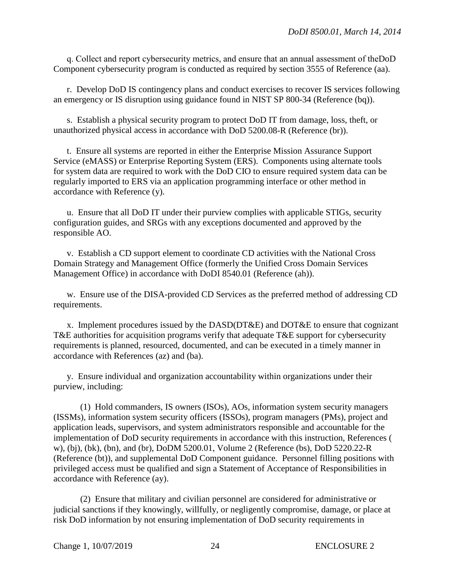q. Collect and report cybersecurity metrics, and ensure that an annual assessment of theDoD Component cybersecurity program is conducted as required by section 3555 of Reference (aa).

r. Develop DoD IS contingency plans and conduct exercises to recover IS services following an emergency or IS disruption using guidance found in NIST SP 800-34 (Reference (bq)).

s. Establish a physical security program to protect DoD IT from damage, loss, theft, or unauthorized physical access in accordance with DoD 5200.08-R (Reference (br)).

t. Ensure all systems are reported in either the Enterprise Mission Assurance Support Service (eMASS) or Enterprise Reporting System (ERS). Components using alternate tools for system data are required to work with the DoD CIO to ensure required system data can be regularly imported to ERS via an application programming interface or other method in accordance with Reference (y).

u. Ensure that all DoD IT under their purview complies with applicable STIGs, security configuration guides, and SRGs with any exceptions documented and approved by the responsible AO.

v. Establish a CD support element to coordinate CD activities with the National Cross Domain Strategy and Management Office (formerly the Unified Cross Domain Services Management Office) in accordance with DoDI 8540.01 (Reference (ah)).

w. Ensure use of the DISA-provided CD Services as the preferred method of addressing CD requirements.

x. Implement procedures issued by the DASD(DT&E) and DOT&E to ensure that cognizant T&E authorities for acquisition programs verify that adequate T&E support for cybersecurity requirements is planned, resourced, documented, and can be executed in a timely manner in accordance with References (az) and (ba).

y. Ensure individual and organization accountability within organizations under their purview, including:

(1) Hold commanders, IS owners (ISOs), AOs, information system security managers (ISSMs), information system security officers (ISSOs), program managers (PMs), project and application leads, supervisors, and system administrators responsible and accountable for the implementation of DoD security requirements in accordance with this instruction, References ( w), (bj), (bk), (bn), and (br), DoDM 5200.01, Volume 2 (Reference (bs), DoD 5220.22-R (Reference (bt)), and supplemental DoD Component guidance. Personnel filling positions with privileged access must be qualified and sign a Statement of Acceptance of Responsibilities in accordance with Reference (ay).

(2) Ensure that military and civilian personnel are considered for administrative or judicial sanctions if they knowingly, willfully, or negligently compromise, damage, or place at risk DoD information by not ensuring implementation of DoD security requirements in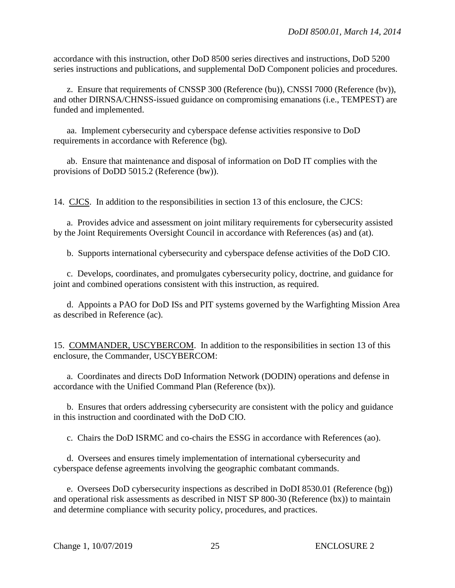accordance with this instruction, other DoD 8500 series directives and instructions, DoD 5200 series instructions and publications, and supplemental DoD Component policies and procedures.

 z. Ensure that requirements of CNSSP 300 (Reference (bu)), CNSSI 7000 (Reference (bv)), and other DIRNSA/CHNSS-issued guidance on compromising emanations (i.e., TEMPEST) are funded and implemented.

 aa. Implement cybersecurity and cyberspace defense activities responsive to DoD requirements in accordance with Reference (bg).

 ab. Ensure that maintenance and disposal of information on DoD IT complies with the provisions of DoDD 5015.2 (Reference (bw)).

14. CJCS. In addition to the responsibilities in section 13 of this enclosure, the CJCS:

a. Provides advice and assessment on joint military requirements for cybersecurity assisted by the Joint Requirements Oversight Council in accordance with References (as) and (at).

b. Supports international cybersecurity and cyberspace defense activities of the DoD CIO.

c. Develops, coordinates, and promulgates cybersecurity policy, doctrine, and guidance for joint and combined operations consistent with this instruction, as required.

 d. Appoints a PAO for DoD ISs and PIT systems governed by the Warfighting Mission Area as described in Reference (ac).

15. COMMANDER, USCYBERCOM. In addition to the responsibilities in section 13 of this enclosure, the Commander, USCYBERCOM:

 a. Coordinates and directs DoD Information Network (DODIN) operations and defense in accordance with the Unified Command Plan (Reference (bx)).

b. Ensures that orders addressing cybersecurity are consistent with the policy and guidance in this instruction and coordinated with the DoD CIO.

c. Chairs the DoD ISRMC and co-chairs the ESSG in accordance with References (ao).

 d. Oversees and ensures timely implementation of international cybersecurity and cyberspace defense agreements involving the geographic combatant commands.

e. Oversees DoD cybersecurity inspections as described in DoDI 8530.01 (Reference (bg)) and operational risk assessments as described in NIST SP 800-30 (Reference (bx)) to maintain and determine compliance with security policy, procedures, and practices.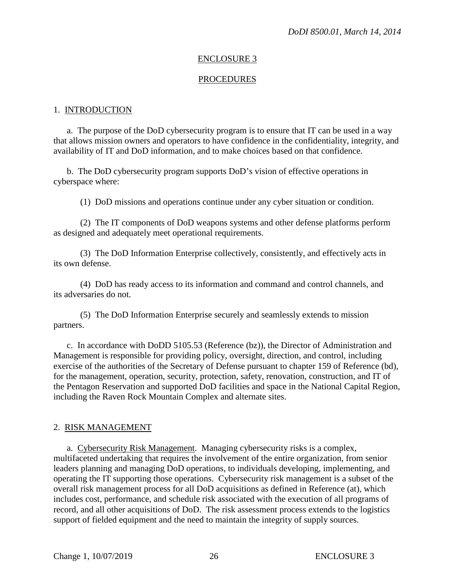#### ENCLOSURE 3

#### PROCEDURES

#### 1. INTRODUCTION

a. The purpose of the DoD cybersecurity program is to ensure that IT can be used in a way that allows mission owner s and operators to have confidence in the confidentiality, integrity, and availability of IT and DoD information, and to make choices based on that confidence.

b. The DoD cybersecurity program supports DoD's vision of effective operations in cyberspace where:

(1) DoD missions and operations continue under any cyber situation or condition.

 (2) The IT components of DoD weapons systems and other defense platforms perform as designed and adequately meet operational requirements.

 (3) The DoD Information Enterprise collectively, consistently, and effectively acts in its own defense.

 (4) DoD has ready access to its information and command and control channels, and its adversaries do not.

(5) The DoD Information Enterprise securely and seamlessly extends to mission partners.

c. In accordance with DoDD 5105.53 (Reference (bz)), the Director of Administration and Management is responsible for providing policy, oversight, direction, and control, including exercise of the authorities of the Secretary of Defense pursuant to chapter 159 of Reference (bd), for the management, operation, security, protection, safety, renovation, construction, and IT of the Pentagon Reservation and supported DoD facilities and space in the National Capital Region, including the Raven Rock Mountain Complex and alternate sites.

#### 2. RISK MANAGEMENT

a. Cybersecurity Risk Management. Managing cybersecurity risks is a complex, multifaceted undertaking that requires the involvement of the entire organization, from senior leaders planning and managing DoD operations, to individuals developing, implementing, and operating the IT supporting those operations. Cybersecurity risk management is a subset of the overall risk management process for all DoD acquisitions as defined in Reference (at), which includes cost, performance, and schedule risk associated with the execution of all programs of record, and all other acquisitions of DoD. The risk assessment process extends to the logistics support of fielded equipment and the need to maintain the integrity of supply sources.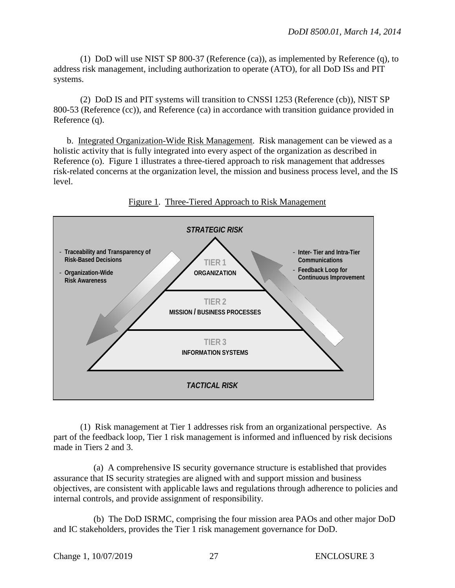(1) DoD will use NIST SP 800-37 (Reference (ca)), as implemented by Reference (q), to address risk management, including authorization to operate (ATO), for all DoD ISs and PIT systems.

(2) DoD IS and PIT systems will transition to CNSSI 1253 (Reference (cb)), NIST SP 800-53 (Reference (cc)), and Reference (ca) in accordance with transition guidance provided in Reference (q).

b. Integrated Organization-Wide Risk Management. Risk management can be viewed as a holistic activity that is fully integrated into every aspect of the organization as described in Reference (o). Figure 1 illustrates a three-tiered approach to risk management that addresses risk-related concerns at the organization level, the mission and business process level, and the IS level.



## Figure 1. Three-Tiered Approach to Risk Management

(1) Risk management at Tier 1 addresses risk from an organizational perspective. As part of the feedback loop, Tier 1 risk management is informed and influenced by risk decisions made in Tiers 2 and 3.

 (a) A comprehensive IS security governance structure is established that provides assurance that IS security strategies are aligned with and support mission and business objectives, are consistent with applicable laws and regulations through adherence to policies and internal controls, and provide assignment of responsibility.

(b) The DoD ISRMC, comprising the four mission area PAOs and other major DoD and IC stakeholders, provides the Tier 1 risk management governance for DoD.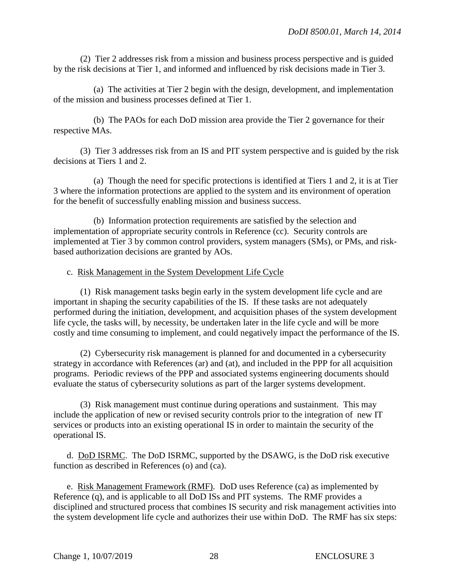(2) Tier 2 addresses risk from a mission and business process perspective and is guided by the risk decisions at Tier 1, and informed and influenced by risk decisions made in Tier 3.

(a) The activities at Tier 2 begin with the design, development, and implementation of the mission and business processes defined at Tier 1.

(b) The PAOs for each DoD mission area provide the Tier 2 governance for their respective MAs.

 (3) Tier 3 addresses risk from an IS and PIT system perspective and is guided by the risk decisions at Tiers 1 and 2.

(a) Though the need for specific protections is identified at Tiers 1 and 2, it is at Tier 3 where the information protections are applied to the system and its environment of operation for the benefit of successfully enabling mission and business success.

(b) Information protection requirements are satisfied by the selection and implementation of appropriate security controls in Reference (cc). Security controls are implemented at Tier 3 by common control providers, system managers (SMs), or PMs, and riskbased authorization decisions are granted by AOs.

## c. Risk Management in the System Development Life Cycle

(1) Risk management tasks begin early in the system development life cycle and are important in shaping the security capabilities of the IS. If these tasks are not adequately performed during the initiation, development, and acquisition phases of the system development life cycle, the tasks will, by necessity, be undertaken later in the life cycle and will be more costly and time consuming to implement, and could negatively impact the performance of the IS.

(2) Cybersecurity risk management is planned for and documented in a cybersecurity strategy in accordance with References (ar) and (at), and included in the PPP for all acquisition programs. Periodic reviews of the PPP and associated systems engineering documents should evaluate the status of cybersecurity solutions as part of the larger systems development.

(3) Risk management must continue during operations and sustainment. This may include the application of new or revised security controls prior to the integration of new IT services or products into an existing operational IS in order to maintain the security of the operational IS.

d. DoD ISRMC. The DoD ISRMC, supported by the DSAWG, is the DoD risk executive function as described in References (o) and (ca).

 e. Risk Management Framework (RMF). DoD uses Reference (ca) as implemented by Reference (q), and is applicable to all DoD ISs and PIT systems. The RMF provides a disciplined and structured process that combines IS security and risk management activities into the system development life cycle and authorizes their use within DoD. The RMF has six steps: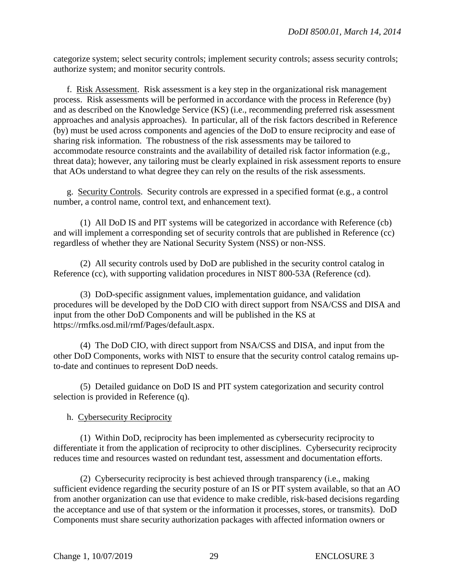categorize system; select security controls; implement security controls; assess security controls; authorize system; and monitor security controls.

 f. Risk Assessment. Risk assessment is a key step in the organizational risk management process. Risk assessments will be performed in accordance with the process in Reference (by) and as described on the Knowledge Service (KS) (i.e., recommending preferred risk assessment approaches and analysis approaches). In particular, all of the risk factors described in Reference (by) must be used across components and agencies of the DoD to ensure reciprocity and ease of sharing risk information. The robustness of the risk assessments may be tailored to accommodate resource constraints and the availability of detailed risk factor information (e.g., threat data); however, any tailoring must be clearly explained in risk assessment reports to ensure that AOs understand to what degree they can rely on the results of the risk assessments.

g. Security Controls. Security controls are expressed in a specified format (e.g., a control number, a control name, control text, and enhancement text).

(1) All DoD IS and PIT systems will be categorized in accordance with Reference (cb) and will implement a corresponding set of security controls that are published in Reference (cc) regardless of whether they are National Security System (NSS) or non-NSS.

(2) All security controls used by DoD are published in the security control catalog in Reference (cc), with supporting validation procedures in NIST 800-53A (Reference (cd).

(3) DoD-specific assignment values, implementation guidance, and validation procedures will be developed by the DoD CIO with direct support from NSA/CSS and DISA and input from the other DoD Components and will be published in the KS at https://rmfks.osd.mil/rmf/Pages/default.aspx.

 (4) The DoD CIO, with direct support from NSA/CSS and DISA, and input from the other DoD Components, works with NIST to ensure that the security control catalog remains upto-date and continues to represent DoD needs.

 (5) Detailed guidance on DoD IS and PIT system categorization and security control selection is provided in Reference (q).

## h. Cybersecurity Reciprocity

(1) Within DoD, reciprocity has been implemented as cybersecurity reciprocity to differentiate it from the application of reciprocity to other disciplines. Cybersecurity reciprocity reduces time and resources wasted on redundant test, assessment and documentation efforts.

(2) Cybersecurity reciprocity is best achieved through transparency (i.e., making sufficient evidence regarding the security posture of an IS or PIT system available, so that an AO from another organization can use that evidence to make credible, risk-based decisions regarding the acceptance and use of that system or the information it processes, stores, or transmits). DoD Components must share security authorization packages with affected information owners or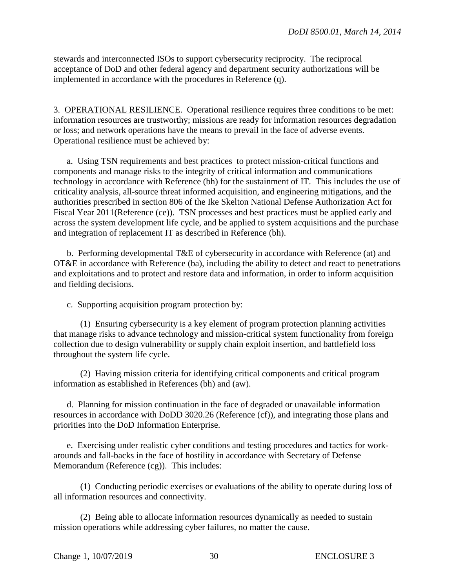stewards and interconnected ISOs to support cybersecurity reciprocity. The reciprocal acceptance of DoD and other federal agency and department security authorizations will be implemented in accordance with the procedures in Reference (q).

3. OPERATIONAL RESILIENCE. Operational resilience requires three conditions to be met: information resources are trustworthy; missions are ready for information resources degradation or loss; and network operations have the means to prevail in the face of adverse events. Operational resilience must be achieved by:

a. Using TSN requirements and best practices to protect mission-critical functions and components and manage risks to the integrity of critical information and communications technology in accordance with Reference (bh) for the sustainment of IT. This includes the use of criticality analysis, all-source threat informed acquisition, and engineering mitigations, and the authorities prescribed in section 806 of the Ike Skelton National Defense Authorization Act for Fiscal Year 2011(Reference (ce)). TSN processes and best practices must be applied early and across the system development life cycle, and be applied to system acquisitions and the purchase and integration of replacement IT as described in Reference (bh).

 b. Performing developmental T&E of cybersecurity in accordance with Reference (at) and OT&E in accordance with Reference (ba), including the ability to detect and react to penetrations and exploitations and to protect and restore data and information, in order to inform acquisition and fielding decisions.

c. Supporting acquisition program protection by:

(1) Ensuring cybersecurity is a key element of program protection planning activities that manage risks to advance technology and mission-critical system functionality from foreign collection due to design vulnerability or supply chain exploit insertion, and battlefield loss throughout the system life cycle.

(2) Having mission criteria for identifying critical components and critical program information as established in References (bh) and (aw).

 d. Planning for mission continuation in the face of degraded or unavailable information resources in accordance with DoDD 3020.26 (Reference (cf)), and integrating those plans and priorities into the DoD Information Enterprise.

 e. Exercising under realistic cyber conditions and testing procedures and tactics for workarounds and fall-backs in the face of hostility in accordance with Secretary of Defense Memorandum (Reference (cg)). This includes:

 (1) Conducting periodic exercises or evaluations of the ability to operate during loss of all information resources and connectivity.

 (2) Being able to allocate information resources dynamically as needed to sustain mission operations while addressing cyber failures, no matter the cause.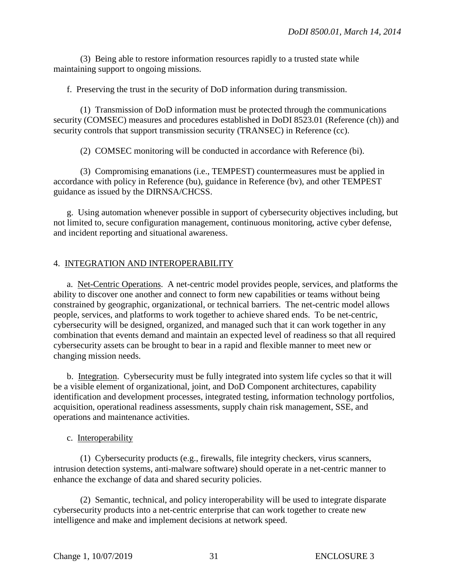(3) Being able to restore information resources rapidly to a trusted state while maintaining support to ongoing missions.

f. Preserving the trust in the security of DoD information during transmission.

(1) Transmission of DoD information must be protected through the communications security (COMSEC) measures and procedures established in DoDI 8523.01 (Reference (ch)) and security controls that support transmission security (TRANSEC) in Reference (cc).

(2) COMSEC monitoring will be conducted in accordance with Reference (bi).

(3) Compromising emanations (i.e., TEMPEST) countermeasures must be applied in accordance with policy in Reference (bu), guidance in Reference (bv), and other TEMPEST guidance as issued by the DIRNSA/CHCSS.

g. Using automation whenever possible in support of cybersecurity objectives including, but not limited to, secure configuration management, continuous monitoring, active cyber defense, and incident reporting and situational awareness.

## 4. INTEGRATION AND INTEROPERABILITY

a. Net-Centric Operations. A net-centric model provides people, services, and platforms the ability to discover one another and connect to form new capabilities or teams without being constrained by geographic, organizational, or technical barriers. The net-centric model allows people, services, and platforms to work together to achieve shared ends. To be net-centric, cybersecurity will be designed, organized, and managed such that it can work together in any combination that events demand and maintain an expected level of readiness so that all required cybersecurity assets can be brought to bear in a rapid and flexible manner to meet new or changing mission needs.

b. Integration. Cybersecurity must be fully integrated into system life cycles so that it will be a visible element of organizational, joint, and DoD Component architectures, capability identification and development processes, integrated testing, information technology portfolios, acquisition, operational readiness assessments, supply chain risk management, SSE, and operations and maintenance activities.

## c. Interoperability

(1) Cybersecurity products (e.g., firewalls, file integrity checkers, virus scanners, intrusion detection systems, anti-malware software) should operate in a net-centric manner to enhance the exchange of data and shared security policies.

(2) Semantic, technical, and policy interoperability will be used to integrate disparate cybersecurity products into a net-centric enterprise that can work together to create new intelligence and make and implement decisions at network speed.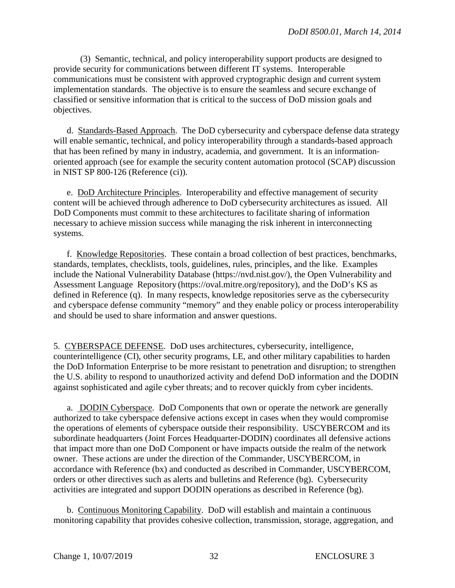(3) Semantic, technical, and policy interoperability support products are designed to provide security for communications between different IT systems. Interoperable communications must be consistent with approved cryptographic design and current system implementation standards. The objective is to ensure the seamless and secure exchange of classified or sensitive information that is critical to the success of DoD mission goals and objectives.

d. Standards-Based Approach. The DoD cybersecurity and cyberspace defense data strategy will enable semantic, technical, and policy interoperability through a standards-based approach that has been refined by many in industry, academia, and government. It is an informationoriented approach (see for example the security content automation protocol (SCAP) discussion in NIST SP 800-126 (Reference (ci)).

e. DoD Architecture Principles. Interoperability and effective management of security content will be achieved through adherence to DoD cybersecurity architectures as issued. All DoD Components must commit to these architectures to facilitate sharing of information necessary to achieve mission success while managing the risk inherent in interconnecting systems.

 f. Knowledge Repositories. These contain a broad collection of best practices, benchmarks, standards, templates, checklists, tools, guidelines, rules, principles, and the like. Examples include the National Vulnerability Database (https://nvd.nist.gov/), the Open Vulnerability and Assessment Language Repository (https://oval.mitre.org/repository), and the DoD's KS as defined in Reference (q). In many respects, knowledge repositories serve as the cybersecurity and cyberspace defense community "memory" and they enable policy or process interoperability and should be used to share information and answer questions.

5. CYBERSPACE DEFENSE. DoD uses architectures, cybersecurity, intelligence, counterintelligence (CI), other security programs, LE, and other military capabilities to harden the DoD Information Enterprise to be more resistant to penetration and disruption; to strengthen the U.S. ability to respond to unauthorized activity and defend DoD information and the DODIN against sophisticated and agile cyber threats; and to recover quickly from cyber incidents.

a. DODIN Cyberspace. DoD Components that own or operate the network are generally authorized to take cyberspace defensive actions except in cases when they would compromise the operations of elements of cyberspace outside their responsibility. USCYBERCOM and its subordinate headquarters (Joint Forces Headquarter-DODIN) coordinates all defensive actions that impact more than one DoD Component or have impacts outside the realm of the network owner. These actions are under the direction of the Commander, USCYBERCOM, in accordance with Reference (bx) and conducted as described in Commander, USCYBERCOM, orders or other directives such as alerts and bulletins and Reference (bg). Cybersecurity activities are integrated and support DODIN operations as described in Reference (bg).

 b. Continuous Monitoring Capability. DoD will establish and maintain a continuous monitoring capability that provides cohesive collection, transmission, storage, aggregation, and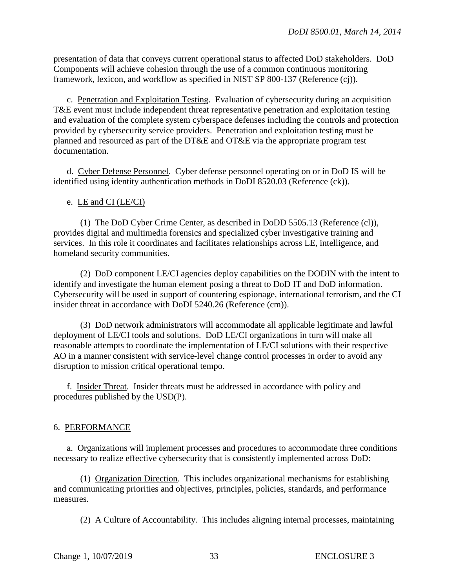presentation of data that conveys current operational status to affected DoD stakeholders. DoD Components will achieve cohesion through the use of a common continuous monitoring framework, lexicon, and workflow as specified in NIST SP 800-137 (Reference (cj)).

c. Penetration and Exploitation Testing. Evaluation of cybersecurity during an acquisition T&E event must include independent threat representative penetration and exploitation testing and evaluation of the complete system cyberspace defenses including the controls and protection provided by cybersecurity service providers. Penetration and exploitation testing must be planned and resourced as part of the DT&E and OT&E via the appropriate program test documentation.

 d. Cyber Defense Personnel. Cyber defense personnel operating on or in DoD IS will be identified using identity authentication methods in DoDI 8520.03 (Reference (ck)).

#### e. LE and CI (LE/CI)

(1) The DoD Cyber Crime Center, as described in DoDD 5505.13 (Reference (cl)), provides digital and multimedia forensics and specialized cyber investigative training and services. In this role it coordinates and facilitates relationships across LE, intelligence, and homeland security communities.

(2) DoD component LE/CI agencies deploy capabilities on the DODIN with the intent to identify and investigate the human element posing a threat to DoD IT and DoD information. Cybersecurity will be used in support of countering espionage, international terrorism, and the CI insider threat in accordance with DoDI 5240.26 (Reference (cm)).

(3) DoD network administrators will accommodate all applicable legitimate and lawful deployment of LE/CI tools and solutions. DoD LE/CI organizations in turn will make all reasonable attempts to coordinate the implementation of LE/CI solutions with their respective AO in a manner consistent with service-level change control processes in order to avoid any disruption to mission critical operational tempo.

 f. Insider Threat. Insider threats must be addressed in accordance with policy and procedures published by the USD(P).

#### 6. PERFORMANCE

a. Organizations will implement processes and procedures to accommodate three conditions necessary to realize effective cybersecurity that is consistently implemented across DoD:

(1) Organization Direction. This includes organizational mechanisms for establishing and communicating priorities and objectives, principles, policies, standards, and performance measures.

(2) A Culture of Accountability. This includes aligning internal processes, maintaining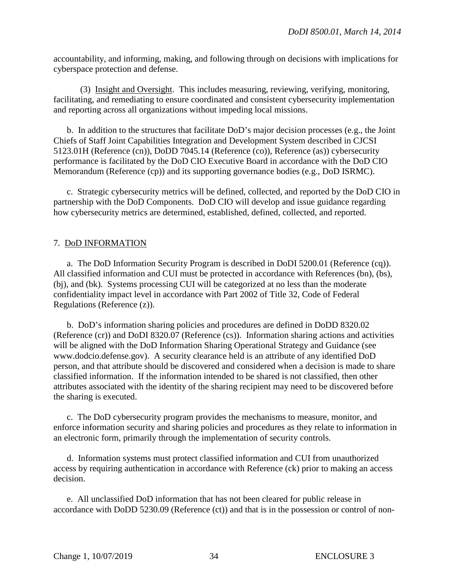accountability, and informing, making, and following through on decisions with implications for cyberspace protection and defense.

(3) Insight and Oversight. This includes measuring, reviewing, verifying, monitoring, facilitating, and remediating to ensure coordinated and consistent cybersecurity implementation and reporting across all organizations without impeding local missions.

b. In addition to the structures that facilitate DoD's major decision processes (e.g., the Joint Chiefs of Staff Joint Capabilities Integration and Development System described in CJCSI 5123.01H (Reference (cn)), DoDD 7045.14 (Reference (co)), Reference (as)) cybersecurity performance is facilitated by the DoD CIO Executive Board in accordance with the DoD CIO Memorandum (Reference (cp)) and its supporting governance bodies (e.g., DoD ISRMC).

c. Strategic cybersecurity metrics will be defined, collected, and reported by the DoD CIO in partnership with the DoD Components. DoD CIO will develop and issue guidance regarding how cybersecurity metrics are determined, established, defined, collected, and reported.

## 7. DoD INFORMATION

a. The DoD Information Security Program is described in DoDI 5200.01 (Reference (cq)). All classified information and CUI must be protected in accordance with References (bn), (bs), (bj), and (bk). Systems processing CUI will be categorized at no less than the moderate confidentiality impact level in accordance with Part 2002 of Title 32, Code of Federal Regulations (Reference (z)).

b. DoD's information sharing policies and procedures are defined in DoDD 8320.02 (Reference (cr)) and DoDI 8320.07 (Reference (cs)). Information sharing actions and activities will be aligned with the DoD Information Sharing Operational Strategy and Guidance (see www.dodcio.defense.gov). A security clearance held is an attribute of any identified DoD person, and that attribute should be discovered and considered when a decision is made to share classified information. If the information intended to be shared is not classified, then other attributes associated with the identity of the sharing recipient may need to be discovered before the sharing is executed.

c. The DoD cybersecurity program provides the mechanisms to measure, monitor, and enforce information security and sharing policies and procedures as they relate to information in an electronic form, primarily through the implementation of security controls.

 d. Information systems must protect classified information and CUI from unauthorized access by requiring authentication in accordance with Reference (ck) prior to making an access decision.

e. All unclassified DoD information that has not been cleared for public release in accordance with DoDD 5230.09 (Reference (ct)) and that is in the possession or control of non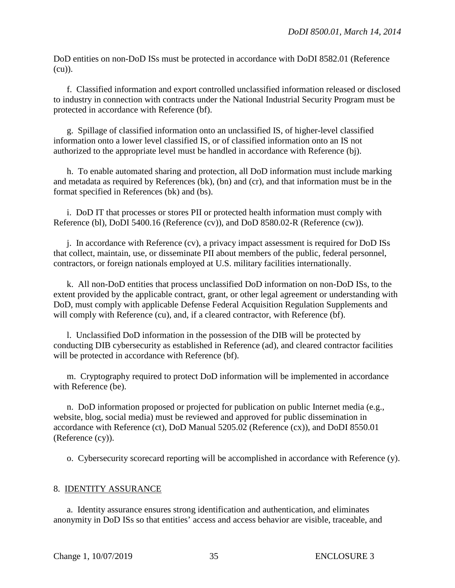DoD entities on non-DoD ISs must be protected in accordance with DoDI 8582.01 (Reference (cu)).

f. Classified information and export controlled unclassified information released or disclosed to industry in connection with contracts under the National Industrial Security Program must be protected in accordance with Reference (bf).

g. Spillage of classified information onto an unclassified IS, of higher-level classified information onto a lower level classified IS, or of classified information onto an IS not authorized to the appropriate level must be handled in accordance with Reference (bj).

h. To enable automated sharing and protection, all DoD information must include marking and metadata as required by References (bk), (bn) and (cr), and that information must be in the format specified in References (bk) and (bs).

i. DoD IT that processes or stores PII or protected health information must comply with Reference (bl), DoDI 5400.16 (Reference (cv)), and DoD 8580.02-R (Reference (cw)).

j. In accordance with Reference (cv), a privacy impact assessment is required for DoD ISs that collect, maintain, use, or disseminate PII about members of the public, federal personnel, contractors, or foreign nationals employed at U.S. military facilities internationally.

k. All non-DoD entities that process unclassified DoD information on non-DoD ISs, to the extent provided by the applicable contract, grant, or other legal agreement or understanding with DoD, must comply with applicable Defense Federal Acquisition Regulation Supplements and will comply with Reference (cu), and, if a cleared contractor, with Reference (bf).

l. Unclassified DoD information in the possession of the DIB will be protected by conducting DIB cybersecurity as established in Reference (ad), and cleared contractor facilities will be protected in accordance with Reference (bf).

m. Cryptography required to protect DoD information will be implemented in accordance with Reference (be).

n. DoD information proposed or projected for publication on public Internet media (e.g., website, blog, social media) must be reviewed and approved for public dissemination in accordance with Reference (ct), DoD Manual 5205.02 (Reference (cx)), and DoDI 8550.01 (Reference (cy)).

o. Cybersecurity scorecard reporting will be accomplished in accordance with Reference (y).

#### 8. IDENTITY ASSURANCE

a. Identity assurance ensures strong identification and authentication, and eliminates anonymity in DoD ISs so that entities' access and access behavior are visible, traceable, and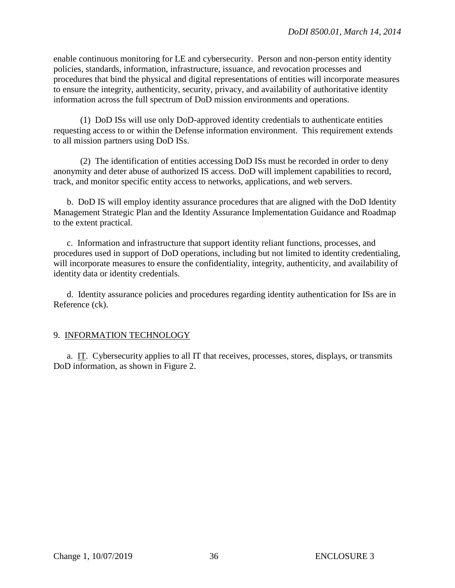enable continuous monitoring for LE and cybersecurity. Person and non-person entity identity policies, standards, information, infrastructure, issuance, and revocation processes and procedures that bind the physical and digital representations of entities will incorporate measures to ensure the integrity, authenticity, security, privacy, and availability of authoritative identity information across the full spectrum of DoD mission environments and operations.

(1) DoD ISs will use only DoD-approved identity credentials to authenticate entities requesting access to or within the Defense information environment. This requirement extends to all mission partners using DoD ISs.

 (2) The identification of entities accessing DoD ISs must be recorded in order to deny anonymity and deter abuse of authorized IS access. DoD will implement capabilities to record, track, and monitor specific entity access to networks, applications, and web servers.

b. DoD IS will employ identity assurance procedures that are aligned with the DoD Identity Management Strategic Plan and the Identity Assurance Implementation Guidance and Roadmap to the extent practical.

c. Information and infrastructure that support identity reliant functions, processes, and procedures used in support of DoD operations, including but not limited to identity credentialing, will incorporate measures to ensure the confidentiality, integrity, authenticity, and availability of identity data or identity credentials.

d. Identity assurance policies and procedures regarding identity authentication for ISs are in Reference (ck).

## 9. INFORMATION TECHNOLOGY

a. IT. Cybersecurity applies to all IT that receives, processes, stores, displays, or transmits DoD information, as shown in Figure 2.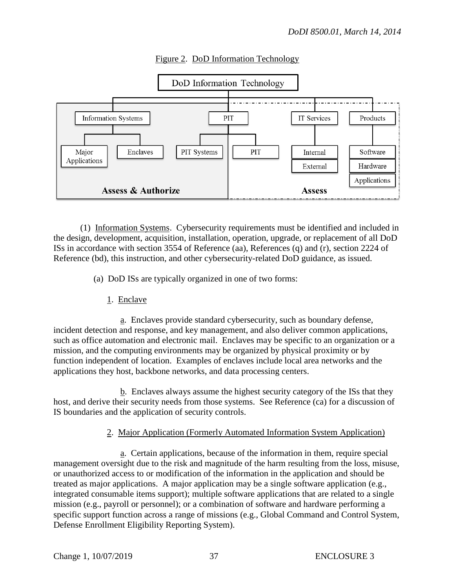

## Figure 2. DoD Information Technology

 (1) Information Systems. Cybersecurity requirements must be identified and included in the design, development, acquisition, installation, operation, upgrade, or replacement of all DoD ISs in accordance with section 3554 of Reference (aa), References (q) and (r), section 2224 of Reference (bd), this instruction, and other cybersecurity-related DoD guidance, as issued.

(a) DoD ISs are typically organized in one of two forms:

1. Enclave

 a. Enclaves provide standard cybersecurity, such as boundary defense, incident detection and response, and key management, and also deliver common applications, such as office automation and electronic mail. Enclaves may be specific to an organization or a mission, and the computing environments may be organized by physical proximity or by function independent of location. Examples of enclaves include local area networks and the applications they host, backbone networks, and data processing centers.

 b. Enclaves always assume the highest security category of the ISs that they host, and derive their security needs from those systems. See Reference (ca) for a discussion of IS boundaries and the application of security controls.

## 2. Major Application (Formerly Automated Information System Application)

 a. Certain applications, because of the information in them, require special management oversight due to the risk and magnitude of the harm resulting from the loss, misuse, or unauthorized access to or modification of the information in the application and should be treated as major applications. A major application may be a single software application (e.g., integrated consumable items support); multiple software applications that are related to a single mission (e.g., payroll or personnel); or a combination of software and hardware performing a specific support function across a range of missions (e.g., Global Command and Control System, Defense Enrollment Eligibility Reporting System).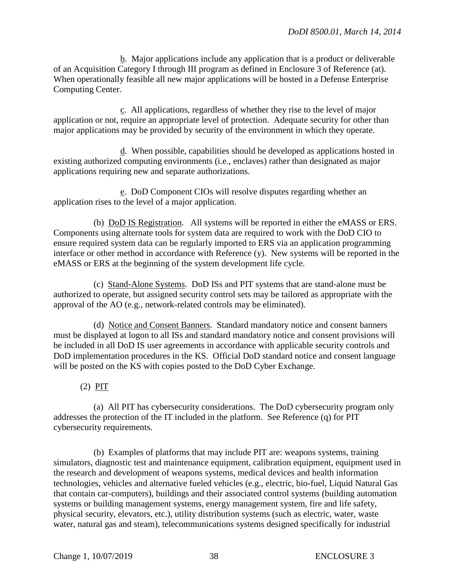b. Major applications include any application that is a product or deliverable of an Acquisition Category I through III program as defined in Enclosure 3 of Reference (at). When operationally feasible all new major applications will be hosted in a Defense Enterprise Computing Center.

 c. All applications, regardless of whether they rise to the level of major application or not, require an appropriate level of protection. Adequate security for other than major applications may be provided by security of the environment in which they operate.

 d. When possible, capabilities should be developed as applications hosted in existing authorized computing environments (i.e., enclaves) rather than designated as major applications requiring new and separate authorizations.

 e. DoD Component CIOs will resolve disputes regarding whether an application rises to the level of a major application.

 (b) DoD IS Registration. All systems will be reported in either the eMASS or ERS. Components using alternate tools for system data are required to work with the DoD CIO to ensure required system data can be regularly imported to ERS via an application programming interface or other method in accordance with Reference (y). New systems will be reported in the eMASS or ERS at the beginning of the system development life cycle.

(c) Stand-Alone Systems. DoD ISs and PIT systems that are stand-alone must be authorized to operate, but assigned security control sets may be tailored as appropriate with the approval of the AO (e.g., network-related controls may be eliminated).

(d) Notice and Consent Banners. Standard mandatory notice and consent banners must be displayed at logon to all ISs and standard mandatory notice and consent provisions will be included in all DoD IS user agreements in accordance with applicable security controls and DoD implementation procedures in the KS. Official DoD standard notice and consent language will be posted on the KS with copies posted to the DoD Cyber Exchange.

(2) PIT

 (a) All PIT has cybersecurity considerations. The DoD cybersecurity program only addresses the protection of the IT included in the platform. See Reference (q) for PIT cybersecurity requirements.

 (b) Examples of platforms that may include PIT are: weapons systems, training simulators, diagnostic test and maintenance equipment, calibration equipment, equipment used in the research and development of weapons systems, medical devices and health information technologies, vehicles and alternative fueled vehicles (e.g., electric, bio-fuel, Liquid Natural Gas that contain car-computers), buildings and their associated control systems (building automation systems or building management systems, energy management system, fire and life safety, physical security, elevators, etc.), utility distribution systems (such as electric, water, waste water, natural gas and steam), telecommunications systems designed specifically for industrial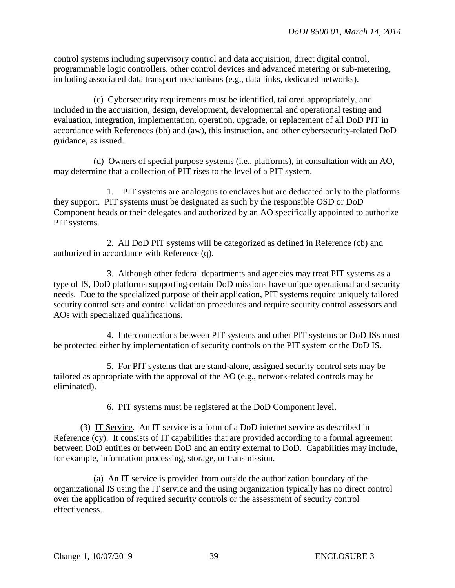control systems including supervisory control and data acquisition, direct digital control, programmable logic controllers, other control devices and advanced metering or sub-metering, including associated data transport mechanisms (e.g., data links, dedicated networks).

 (c) Cybersecurity requirements must be identified, tailored appropriately, and included in the acquisition, design, development, developmental and operational testing and evaluation, integration, implementation, operation, upgrade, or replacement of all DoD PIT in accordance with References (bh) and (aw), this instruction, and other cybersecurity-related DoD guidance, as issued.

 (d) Owners of special purpose systems (i.e., platforms), in consultation with an AO, may determine that a collection of PIT rises to the level of a PIT system.

 1. PIT systems are analogous to enclaves but are dedicated only to the platforms they support. PIT systems must be designated as such by the responsible OSD or DoD Component heads or their delegates and authorized by an AO specifically appointed to authorize PIT systems.

 2. All DoD PIT systems will be categorized as defined in Reference (cb) and authorized in accordance with Reference (q).

 3. Although other federal departments and agencies may treat PIT systems as a type of IS, DoD platforms supporting certain DoD missions have unique operational and security needs. Due to the specialized purpose of their application, PIT systems require uniquely tailored security control sets and control validation procedures and require security control assessors and AOs with specialized qualifications.

 4. Interconnections between PIT systems and other PIT systems or DoD ISs must be protected either by implementation of security controls on the PIT system or the DoD IS.

 5. For PIT systems that are stand-alone, assigned security control sets may be tailored as appropriate with the approval of the AO (e.g., network-related controls may be eliminated).

6. PIT systems must be registered at the DoD Component level.

 (3) IT Service. An IT service is a form of a DoD internet service as described in Reference (cy). It consists of IT capabilities that are provided according to a formal agreement between DoD entities or between DoD and an entity external to DoD. Capabilities may include, for example, information processing, storage, or transmission.

(a) An IT service is provided from outside the authorization boundary of the organizational IS using the IT service and the using organization typically has no direct control over the application of required security controls or the assessment of security control effectiveness.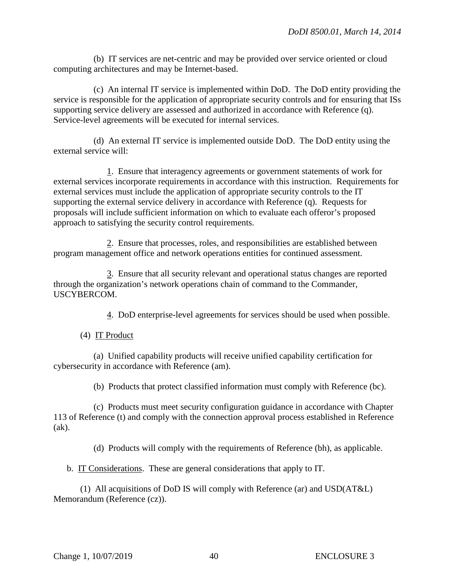(b) IT services are net-centric and may be provided over service oriented or cloud computing architectures and may be Internet-based.

 (c) An internal IT service is implemented within DoD. The DoD entity providing the service is responsible for the application of appropriate security controls and for ensuring that ISs supporting service delivery are assessed and authorized in accordance with Reference (q). Service-level agreements will be executed for internal services.

 (d) An external IT service is implemented outside DoD. The DoD entity using the external service will:

 1. Ensure that interagency agreements or government statements of work for external services incorporate requirements in accordance with this instruction. Requirements for external services must include the application of appropriate security controls to the IT supporting the external service delivery in accordance with Reference (q). Requests for proposals will include sufficient information on which to evaluate each offeror's proposed approach to satisfying the security control requirements.

 2. Ensure that processes, roles, and responsibilities are established between program management office and network operations entities for continued assessment.

 3. Ensure that all security relevant and operational status changes are reported through the organization's network operations chain of command to the Commander, USCYBERCOM.

4. DoD enterprise-level agreements for services should be used when possible.

(4) IT Product

 (a) Unified capability products will receive unified capability certification for cybersecurity in accordance with Reference (am).

(b) Products that protect classified information must comply with Reference (bc).

 (c) Products must meet security configuration guidance in accordance with Chapter 113 of Reference (t) and comply with the connection approval process established in Reference (ak).

(d) Products will comply with the requirements of Reference (bh), as applicable.

b. IT Considerations. These are general considerations that apply to IT.

 (1) All acquisitions of DoD IS will comply with Reference (ar) and USD(AT&L) Memorandum (Reference (cz)).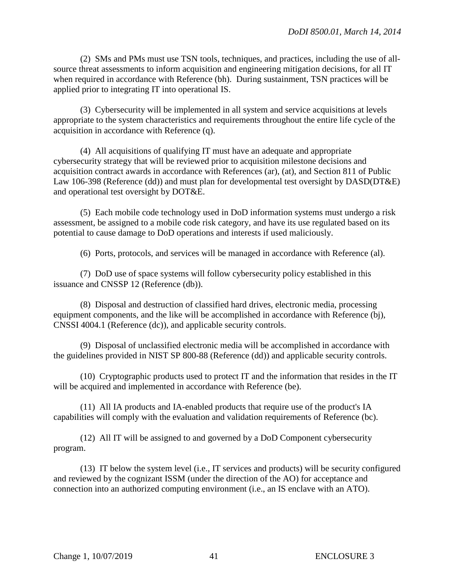(2) SMs and PMs must use TSN tools, techniques, and practices, including the use of allsource threat assessments to inform acquisition and engineering mitigation decisions, for all IT when required in accordance with Reference (bh). During sustainment, TSN practices will be applied prior to integrating IT into operational IS.

(3) Cybersecurity will be implemented in all system and service acquisitions at levels appropriate to the system characteristics and requirements throughout the entire life cycle of the acquisition in accordance with Reference (q).

(4) All acquisitions of qualifying IT must have an adequate and appropriate cybersecurity strategy that will be reviewed prior to acquisition milestone decisions and acquisition contract awards in accordance with References (ar), (at), and Section 811 of Public Law 106-398 (Reference (dd)) and must plan for developmental test oversight by DASD(DT&E) and operational test oversight by DOT&E.

(5) Each mobile code technology used in DoD information systems must undergo a risk assessment, be assigned to a mobile code risk category, and have its use regulated based on its potential to cause damage to DoD operations and interests if used maliciously.

(6) Ports, protocols, and services will be managed in accordance with Reference (al).

 (7) DoD use of space systems will follow cybersecurity policy established in this issuance and CNSSP 12 (Reference (db)).

 (8) Disposal and destruction of classified hard drives, electronic media, processing equipment components, and the like will be accomplished in accordance with Reference (bj), CNSSI 4004.1 (Reference (dc)), and applicable security controls.

 (9) Disposal of unclassified electronic media will be accomplished in accordance with the guidelines provided in NIST SP 800-88 (Reference (dd)) and applicable security controls.

 (10) Cryptographic products used to protect IT and the information that resides in the IT will be acquired and implemented in accordance with Reference (be).

 (11) All IA products and IA-enabled products that require use of the product's IA capabilities will comply with the evaluation and validation requirements of Reference (bc).

(12) All IT will be assigned to and governed by a DoD Component cybersecurity program.

(13) IT below the system level (i.e., IT services and products) will be security configured and reviewed by the cognizant ISSM (under the direction of the AO) for acceptance and connection into an authorized computing environment (i.e., an IS enclave with an ATO).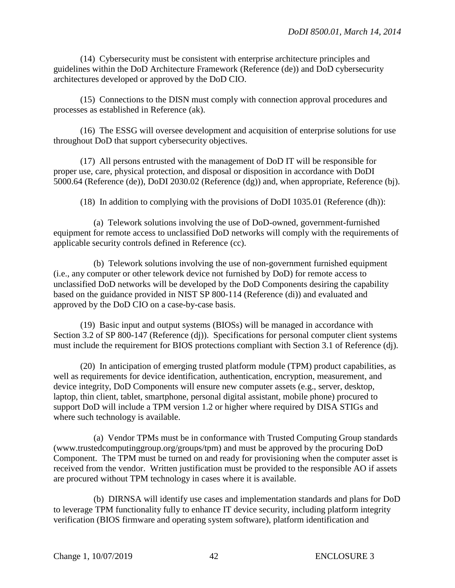(14) Cybersecurity must be consistent with enterprise architecture principles and guidelines within the DoD Architecture Framework (Reference (de)) and DoD cybersecurity architectures developed or approved by the DoD CIO.

(15) Connections to the DISN must comply with connection approval procedures and processes as established in Reference (ak).

(16) The ESSG will oversee development and acquisition of enterprise solutions for use throughout DoD that support cybersecurity objectives.

(17) All persons entrusted with the management of DoD IT will be responsible for proper use, care, physical protection, and disposal or disposition in accordance with DoDI 5000.64 (Reference (de)), DoDI 2030.02 (Reference (dg)) and, when appropriate, Reference (bj).

(18) In addition to complying with the provisions of DoDI 1035.01 (Reference (dh)):

 (a) Telework solutions involving the use of DoD-owned, government-furnished equipment for remote access to unclassified DoD networks will comply with the requirements of applicable security controls defined in Reference (cc).

 (b) Telework solutions involving the use of non-government furnished equipment (i.e., any computer or other telework device not furnished by DoD) for remote access to unclassified DoD networks will be developed by the DoD Components desiring the capability based on the guidance provided in NIST SP 800-114 (Reference (di)) and evaluated and approved by the DoD CIO on a case-by-case basis.

 (19) Basic input and output systems (BIOSs) will be managed in accordance with Section 3.2 of SP 800-147 (Reference (dj)). Specifications for personal computer client systems must include the requirement for BIOS protections compliant with Section 3.1 of Reference (dj).

 (20) In anticipation of emerging trusted platform module (TPM) product capabilities, as well as requirements for device identification, authentication, encryption, measurement, and device integrity, DoD Components will ensure new computer assets (e.g., server, desktop, laptop, thin client, tablet, smartphone, personal digital assistant, mobile phone) procured to support DoD will include a TPM version 1.2 or higher where required by DISA STIGs and where such technology is available.

(a) Vendor TPMs must be in conformance with Trusted Computing Group standards (www.trustedcomputinggroup.org/groups/tpm) and must be approved by the procuring DoD Component. The TPM must be turned on and ready for provisioning when the computer asset is received from the vendor. Written justification must be provided to the responsible AO if assets are procured without TPM technology in cases where it is available.

(b) DIRNSA will identify use cases and implementation standards and plans for DoD to leverage TPM functionality fully to enhance IT device security, including platform integrity verification (BIOS firmware and operating system software), platform identification and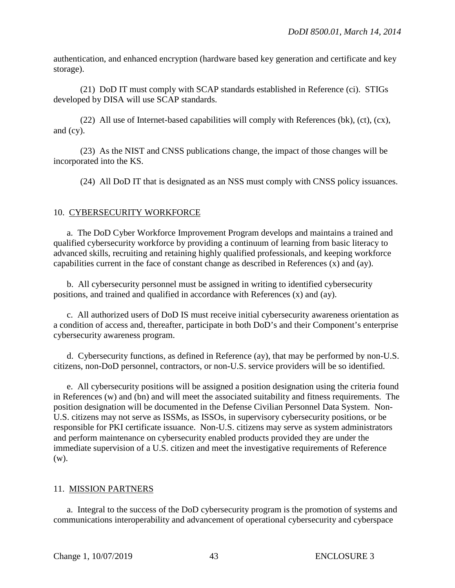authentication, and enhanced encryption (hardware based key generation and certificate and key storage).

 (21) DoD IT must comply with SCAP standards established in Reference (ci). STIGs developed by DISA will use SCAP standards.

 (22) All use of Internet-based capabilities will comply with References (bk), (ct), (cx), and (cy).

 (23) As the NIST and CNSS publications change, the impact of those changes will be incorporated into the KS.

(24) All DoD IT that is designated as an NSS must comply with CNSS policy issuances.

## 10. CYBERSECURITY WORKFORCE

a. The DoD Cyber Workforce Improvement Program develops and maintains a trained and qualified cybersecurity workforce by providing a continuum of learning from basic literacy to advanced skills, recruiting and retaining highly qualified professionals, and keeping workforce capabilities current in the face of constant change as described in References (x) and (ay).

 b. All cybersecurity personnel must be assigned in writing to identified cybersecurity positions, and trained and qualified in accordance with References (x) and (ay).

 c. All authorized users of DoD IS must receive initial cybersecurity awareness orientation as a condition of access and, thereafter, participate in both DoD's and their Component's enterprise cybersecurity awareness program.

d. Cybersecurity functions, as defined in Reference (ay), that may be performed by non-U.S. citizens, non-DoD personnel, contractors, or non-U.S. service providers will be so identified.

e. All cybersecurity positions will be assigned a position designation using the criteria found in References (w) and (bn) and will meet the associated suitability and fitness requirements. The position designation will be documented in the Defense Civilian Personnel Data System. Non-U.S. citizens may not serve as ISSMs, as ISSOs, in supervisory cybersecurity positions, or be responsible for PKI certificate issuance. Non-U.S. citizens may serve as system administrators and perform maintenance on cybersecurity enabled products provided they are under the immediate supervision of a U.S. citizen and meet the investigative requirements of Reference (w).

## 11. MISSION PARTNERS

a. Integral to the success of the DoD cybersecurity program is the promotion of systems and communications interoperability and advancement of operational cybersecurity and cyberspace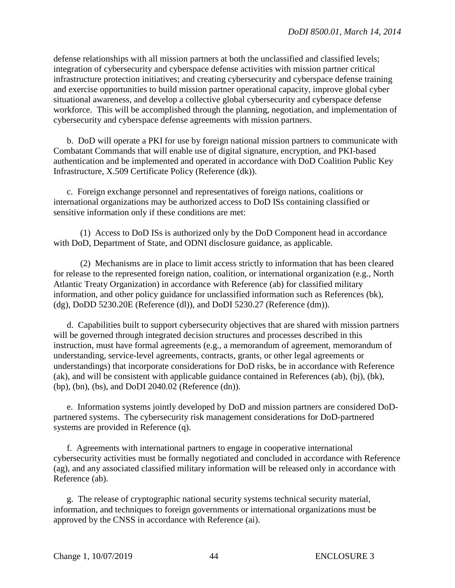defense relationships with all mission partners at both the unclassified and classified levels; integration of cybersecurity and cyberspace defense activities with mission partner critical infrastructure protection initiatives; and creating cybersecurity and cyberspace defense training and exercise opportunities to build mission partner operational capacity, improve global cyber situational awareness, and develop a collective global cybersecurity and cyberspace defense workforce. This will be accomplished through the planning, negotiation, and implementation of cybersecurity and cyberspace defense agreements with mission partners.

b. DoD will operate a PKI for use by foreign national mission partners to communicate with Combatant Commands that will enable use of digital signature, encryption, and PKI-based authentication and be implemented and operated in accordance with DoD Coalition Public Key Infrastructure, X.509 Certificate Policy (Reference (dk)).

c. Foreign exchange personnel and representatives of foreign nations, coalitions or international organizations may be authorized access to DoD ISs containing classified or sensitive information only if these conditions are met:

 (1) Access to DoD ISs is authorized only by the DoD Component head in accordance with DoD, Department of State, and ODNI disclosure guidance, as applicable.

(2) Mechanisms are in place to limit access strictly to information that has been cleared for release to the represented foreign nation, coalition, or international organization (e.g., North Atlantic Treaty Organization) in accordance with Reference (ab) for classified military information, and other policy guidance for unclassified information such as References (bk), (dg), DoDD 5230.20E (Reference (dl)), and DoDI 5230.27 (Reference (dm)).

d. Capabilities built to support cybersecurity objectives that are shared with mission partners will be governed through integrated decision structures and processes described in this instruction, must have formal agreements (e.g., a memorandum of agreement, memorandum of understanding, service-level agreements, contracts, grants, or other legal agreements or understandings) that incorporate considerations for DoD risks, be in accordance with Reference (ak), and will be consistent with applicable guidance contained in References (ab), (bj), (bk), (bp), (bn), (bs), and DoDI 2040.02 (Reference (dn)).

 e. Information systems jointly developed by DoD and mission partners are considered DoDpartnered systems. The cybersecurity risk management considerations for DoD-partnered systems are provided in Reference (q).

f. Agreements with international partners to engage in cooperative international cybersecurity activities must be formally negotiated and concluded in accordance with Reference (ag), and any associated classified military information will be released only in accordance with Reference (ab).

g. The release of cryptographic national security systems technical security material, information, and techniques to foreign governments or international organizations must be approved by the CNSS in accordance with Reference (ai).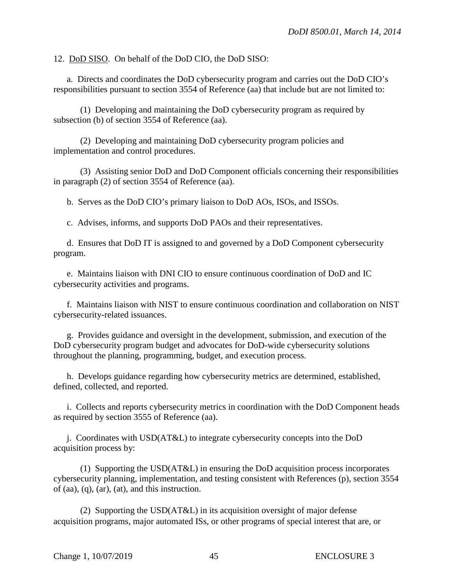12. DoD SISO. On behalf of the DoD CIO, the DoD SISO:

a. Directs and coordinates the DoD cybersecurity program and carries out the DoD CIO's responsibilities pursuant to section 3554 of Reference (aa) that include but are not limited to:

(1) Developing and maintaining the DoD cybersecurity program as required by subsection (b) of section 3554 of Reference (aa).

 (2) Developing and maintaining DoD cybersecurity program policies and implementation and control procedures.

 (3) Assisting senior DoD and DoD Component officials concerning their responsibilities in paragraph (2) of section 3554 of Reference (aa).

b. Serves as the DoD CIO's primary liaison to DoD AOs, ISOs, and ISSOs.

c. Advises, informs, and supports DoD PAOs and their representatives.

d. Ensures that DoD IT is assigned to and governed by a DoD Component cybersecurity program.

e. Maintains liaison with DNI CIO to ensure continuous coordination of DoD and IC cybersecurity activities and programs.

 f. Maintains liaison with NIST to ensure continuous coordination and collaboration on NIST cybersecurity-related issuances.

g. Provides guidance and oversight in the development, submission, and execution of the DoD cybersecurity program budget and advocates for DoD-wide cybersecurity solutions throughout the planning, programming, budget, and execution process.

h. Develops guidance regarding how cybersecurity metrics are determined, established, defined, collected, and reported.

i. Collects and reports cybersecurity metrics in coordination with the DoD Component heads as required by section 3555 of Reference (aa).

j. Coordinates with USD(AT&L) to integrate cybersecurity concepts into the DoD acquisition process by:

(1) Supporting the USD(AT&L) in ensuring the DoD acquisition process incorporates cybersecurity planning, implementation, and testing consistent with References (p), section 3554 of (aa), (q), (ar), (at), and this instruction.

 (2) Supporting the USD(AT&L) in its acquisition oversight of major defense acquisition programs, major automated ISs, or other programs of special interest that are, or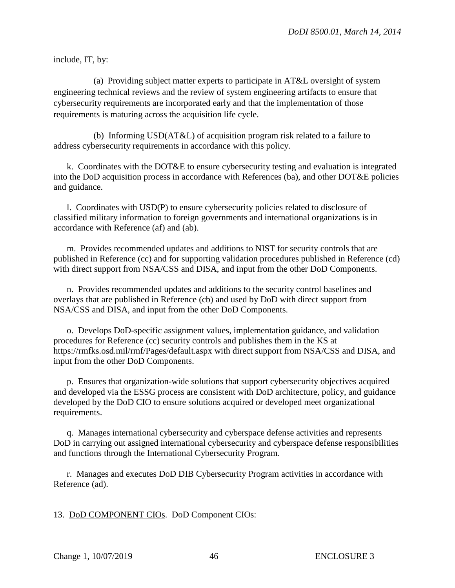include, IT, by:

 (a) Providing subject matter experts to participate in AT&L oversight of system engineering technical reviews and the review of system engineering artifacts to ensure that cybersecurity requirements are incorporated early and that the implementation of those requirements is maturing across the acquisition life cycle.

 (b) Informing USD(AT&L) of acquisition program risk related to a failure to address cybersecurity requirements in accordance with this policy.

k. Coordinates with the DOT&E to ensure cybersecurity testing and evaluation is integrated into the DoD acquisition process in accordance with References (ba), and other DOT&E policies and guidance.

l. Coordinates with USD(P) to ensure cybersecurity policies related to disclosure of classified military information to foreign governments and international organizations is in accordance with Reference (af) and (ab).

 m. Provides recommended updates and additions to NIST for security controls that are published in Reference (cc) and for supporting validation procedures published in Reference (cd) with direct support from NSA/CSS and DISA, and input from the other DoD Components.

 n. Provides recommended updates and additions to the security control baselines and overlays that are published in Reference (cb) and used by DoD with direct support from NSA/CSS and DISA, and input from the other DoD Components.

o. Develops DoD-specific assignment values, implementation guidance, and validation procedures for Reference (cc) security controls and publishes them in the KS at https://rmfks.osd.mil/rmf/Pages/default.aspx with direct support from NSA/CSS and DISA, and input from the other DoD Components.

p. Ensures that organization-wide solutions that support cybersecurity objectives acquired and developed via the ESSG process are consistent with DoD architecture, policy, and guidance developed by the DoD CIO to ensure solutions acquired or developed meet organizational requirements.

q. Manages international cybersecurity and cyberspace defense activities and represents DoD in carrying out assigned international cybersecurity and cyberspace defense responsibilities and functions through the International Cybersecurity Program.

r. Manages and executes DoD DIB Cybersecurity Program activities in accordance with Reference (ad).

13. DoD COMPONENT CIOs. DoD Component CIOs: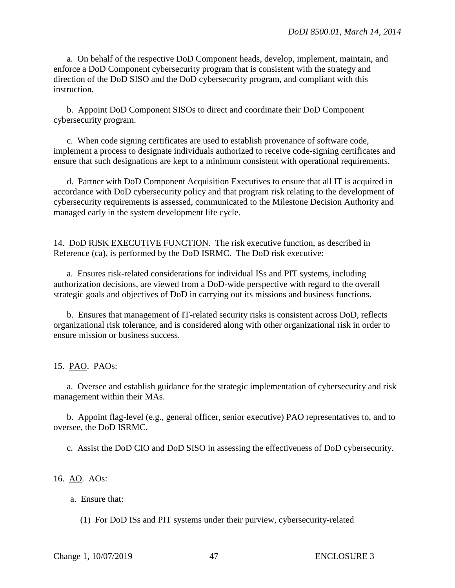a. On behalf of the respective DoD Component heads, develop, implement, maintain, and enforce a DoD Component cybersecurity program that is consistent with the strategy and direction of the DoD SISO and the DoD cybersecurity program, and compliant with this instruction.

b. Appoint DoD Component SISOs to direct and coordinate their DoD Component cybersecurity program.

c. When code signing certificates are used to establish provenance of software code, implement a process to designate individuals authorized to receive code-signing certificates and ensure that such designations are kept to a minimum consistent with operational requirements.

 d. Partner with DoD Component Acquisition Executives to ensure that all IT is acquired in accordance with DoD cybersecurity policy and that program risk relating to the development of cybersecurity requirements is assessed, communicated to the Milestone Decision Authority and managed early in the system development life cycle.

14. DoD RISK EXECUTIVE FUNCTION. The risk executive function, as described in Reference (ca), is performed by the DoD ISRMC. The DoD risk executive:

a. Ensures risk-related considerations for individual ISs and PIT systems, including authorization decisions, are viewed from a DoD-wide perspective with regard to the overall strategic goals and objectives of DoD in carrying out its missions and business functions.

b. Ensures that management of IT-related security risks is consistent across DoD, reflects organizational risk tolerance, and is considered along with other organizational risk in order to ensure mission or business success.

15. PAO. PAOs:

a. Oversee and establish guidance for the strategic implementation of cybersecurity and risk management within their MAs.

 b. Appoint flag-level (e.g., general officer, senior executive) PAO representatives to, and to oversee, the DoD ISRMC.

c. Assist the DoD CIO and DoD SISO in assessing the effectiveness of DoD cybersecurity.

16. AO. AOs:

a. Ensure that:

(1) For DoD ISs and PIT systems under their purview, cybersecurity-related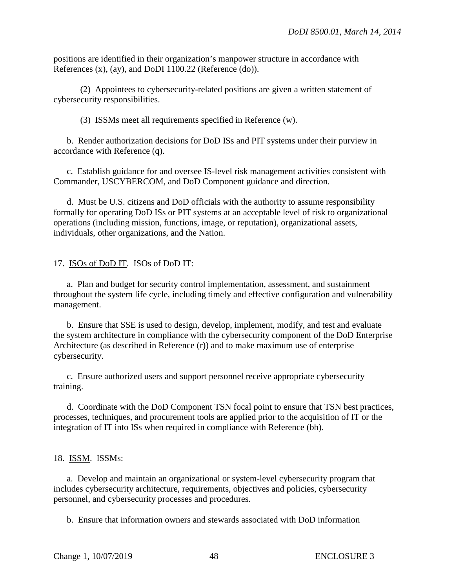positions are identified in their organization's manpower structure in accordance with References (x), (ay), and DoDI 1100.22 (Reference (do)).

 (2) Appointees to cybersecurity-related positions are given a written statement of cybersecurity responsibilities.

(3) ISSMs meet all requirements specified in Reference (w).

b. Render authorization decisions for DoD ISs and PIT systems under their purview in accordance with Reference (q).

 c. Establish guidance for and oversee IS-level risk management activities consistent with Commander, USCYBERCOM, and DoD Component guidance and direction.

 d. Must be U.S. citizens and DoD officials with the authority to assume responsibility formally for operating DoD ISs or PIT systems at an acceptable level of risk to organizational operations (including mission, functions, image, or reputation), organizational assets, individuals, other organizations, and the Nation.

17. ISOs of DoD IT. ISOs of DoD IT:

a. Plan and budget for security control implementation, assessment, and sustainment throughout the system life cycle, including timely and effective configuration and vulnerability management.

 b. Ensure that SSE is used to design, develop, implement, modify, and test and evaluate the system architecture in compliance with the cybersecurity component of the DoD Enterprise Architecture (as described in Reference (r)) and to make maximum use of enterprise cybersecurity.

c. Ensure authorized users and support personnel receive appropriate cybersecurity training.

 d. Coordinate with the DoD Component TSN focal point to ensure that TSN best practices, processes, techniques, and procurement tools are applied prior to the acquisition of IT or the integration of IT into ISs when required in compliance with Reference (bh).

## 18. ISSM. ISSMs:

a. Develop and maintain an organizational or system-level cybersecurity program that includes cybersecurity architecture, requirements, objectives and policies, cybersecurity personnel, and cybersecurity processes and procedures.

b. Ensure that information owners and stewards associated with DoD information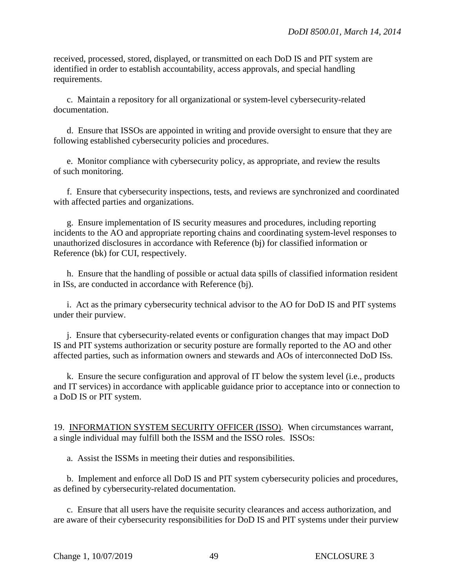received, processed, stored, displayed, or transmitted on each DoD IS and PIT system are identified in order to establish accountability, access approvals, and special handling requirements.

c. Maintain a repository for all organizational or system-level cybersecurity-related documentation.

d. Ensure that ISSOs are appointed in writing and provide oversight to ensure that they are following established cybersecurity policies and procedures.

e. Monitor compliance with cybersecurity policy, as appropriate, and review the results of such monitoring.

f. Ensure that cybersecurity inspections, tests, and reviews are synchronized and coordinated with affected parties and organizations.

g. Ensure implementation of IS security measures and procedures, including reporting incidents to the AO and appropriate reporting chains and coordinating system-level responses to unauthorized disclosures in accordance with Reference (bj) for classified information or Reference (bk) for CUI, respectively.

h. Ensure that the handling of possible or actual data spills of classified information resident in ISs, are conducted in accordance with Reference (bj).

i. Act as the primary cybersecurity technical advisor to the AO for DoD IS and PIT systems under their purview.

j. Ensure that cybersecurity-related events or configuration changes that may impact DoD IS and PIT systems authorization or security posture are formally reported to the AO and other affected parties, such as information owners and stewards and AOs of interconnected DoD ISs.

 k. Ensure the secure configuration and approval of IT below the system level (i.e., products and IT services) in accordance with applicable guidance prior to acceptance into or connection to a DoD IS or PIT system.

19. INFORMATION SYSTEM SECURITY OFFICER (ISSO). When circumstances warrant, a single individual may fulfill both the ISSM and the ISSO roles. ISSOs:

a. Assist the ISSMs in meeting their duties and responsibilities.

b. Implement and enforce all DoD IS and PIT system cybersecurity policies and procedures, as defined by cybersecurity-related documentation.

c. Ensure that all users have the requisite security clearances and access authorization, and are aware of their cybersecurity responsibilities for DoD IS and PIT systems under their purview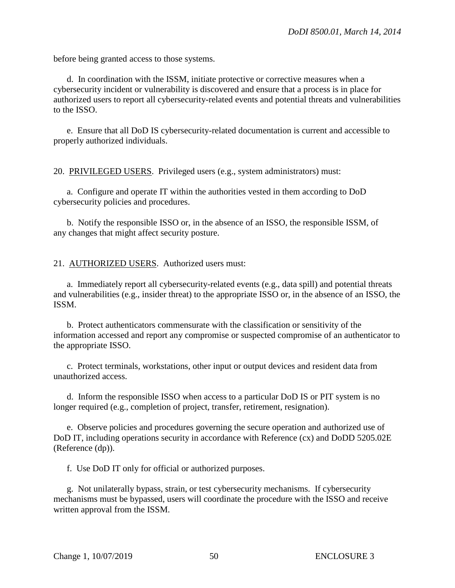before being granted access to those systems.

d. In coordination with the ISSM, initiate protective or corrective measures when a cybersecurity incident or vulnerability is discovered and ensure that a process is in place for authorized users to report all cybersecurity-related events and potential threats and vulnerabilities to the ISSO.

e. Ensure that all DoD IS cybersecurity-related documentation is current and accessible to properly authorized individuals.

20. PRIVILEGED USERS. Privileged users (e.g., system administrators) must:

a. Configure and operate IT within the authorities vested in them according to DoD cybersecurity policies and procedures.

 b. Notify the responsible ISSO or, in the absence of an ISSO, the responsible ISSM, of any changes that might affect security posture.

21. AUTHORIZED USERS. Authorized users must:

a. Immediately report all cybersecurity-related events (e.g., data spill) and potential threats and vulnerabilities (e.g., insider threat) to the appropriate ISSO or, in the absence of an ISSO, the ISSM.

b. Protect authenticators commensurate with the classification or sensitivity of the information accessed and report any compromise or suspected compromise of an authenticator to the appropriate ISSO.

c. Protect terminals, workstations, other input or output devices and resident data from unauthorized access.

d. Inform the responsible ISSO when access to a particular DoD IS or PIT system is no longer required (e.g., completion of project, transfer, retirement, resignation).

e. Observe policies and procedures governing the secure operation and authorized use of DoD IT, including operations security in accordance with Reference (cx) and DoDD 5205.02E (Reference (dp)).

f. Use DoD IT only for official or authorized purposes.

g. Not unilaterally bypass, strain, or test cybersecurity mechanisms. If cybersecurity mechanisms must be bypassed, users will coordinate the procedure with the ISSO and receive written approval from the ISSM.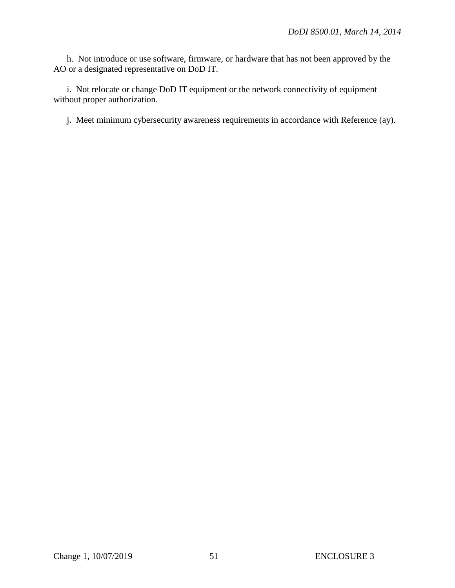h. Not introduce or use software, firmware, or hardware that has not been approved by the AO or a designated representative on DoD IT.

i. Not relocate or change DoD IT equipment or the network connectivity of equipment without proper authorization.

j. Meet minimum cybersecurity awareness requirements in accordance with Reference (ay).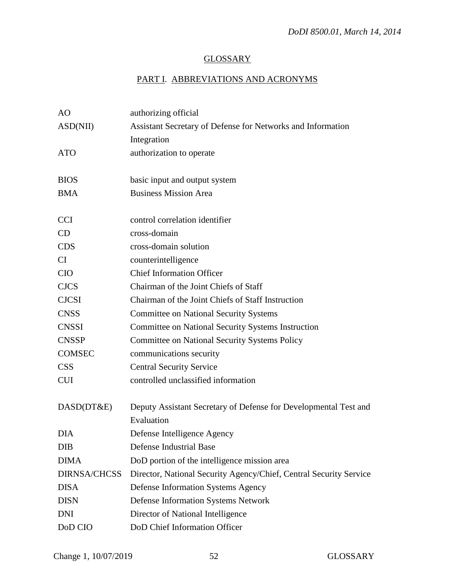# **GLOSSARY**

# PART I. ABBREVIATIONS AND ACRONYMS

| AO                  | authorizing official                                               |
|---------------------|--------------------------------------------------------------------|
| ASD(NII)            | Assistant Secretary of Defense for Networks and Information        |
|                     | Integration                                                        |
| <b>ATO</b>          | authorization to operate                                           |
|                     |                                                                    |
| <b>BIOS</b>         | basic input and output system                                      |
| <b>BMA</b>          | <b>Business Mission Area</b>                                       |
|                     |                                                                    |
| <b>CCI</b>          | control correlation identifier                                     |
| CD                  | cross-domain                                                       |
| <b>CDS</b>          | cross-domain solution                                              |
| CI                  | counterintelligence                                                |
| <b>CIO</b>          | <b>Chief Information Officer</b>                                   |
| <b>CJCS</b>         | Chairman of the Joint Chiefs of Staff                              |
| <b>CJCSI</b>        | Chairman of the Joint Chiefs of Staff Instruction                  |
| <b>CNSS</b>         | <b>Committee on National Security Systems</b>                      |
| <b>CNSSI</b>        | <b>Committee on National Security Systems Instruction</b>          |
| <b>CNSSP</b>        | <b>Committee on National Security Systems Policy</b>               |
| <b>COMSEC</b>       | communications security                                            |
| <b>CSS</b>          | <b>Central Security Service</b>                                    |
| <b>CUI</b>          | controlled unclassified information                                |
|                     |                                                                    |
| DASD(DT&E)          | Deputy Assistant Secretary of Defense for Developmental Test and   |
|                     | Evaluation                                                         |
| <b>DIA</b>          | Defense Intelligence Agency                                        |
| <b>DIB</b>          | Defense Industrial Base                                            |
| <b>DIMA</b>         | DoD portion of the intelligence mission area                       |
| <b>DIRNSA/CHCSS</b> | Director, National Security Agency/Chief, Central Security Service |
| <b>DISA</b>         | <b>Defense Information Systems Agency</b>                          |
| <b>DISN</b>         | <b>Defense Information Systems Network</b>                         |
| <b>DNI</b>          | Director of National Intelligence                                  |
| DoD CIO             | DoD Chief Information Officer                                      |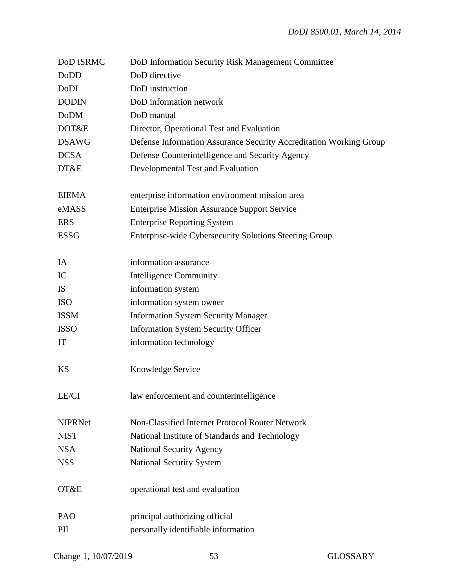| DoD ISRMC      | DoD Information Security Risk Management Committee                 |
|----------------|--------------------------------------------------------------------|
| DoDD           | DoD directive                                                      |
| DoDI           | DoD instruction                                                    |
| <b>DODIN</b>   | DoD information network                                            |
| <b>DoDM</b>    | DoD manual                                                         |
| DOT&E          | Director, Operational Test and Evaluation                          |
| <b>DSAWG</b>   | Defense Information Assurance Security Accreditation Working Group |
| <b>DCSA</b>    | Defense Counterintelligence and Security Agency                    |
| DT&E           | Developmental Test and Evaluation                                  |
| <b>EIEMA</b>   | enterprise information environment mission area                    |
| eMASS          | <b>Enterprise Mission Assurance Support Service</b>                |
| <b>ERS</b>     | <b>Enterprise Reporting System</b>                                 |
| <b>ESSG</b>    | Enterprise-wide Cybersecurity Solutions Steering Group             |
| IA             | information assurance                                              |
| IC             | <b>Intelligence Community</b>                                      |
| IS             | information system                                                 |
| <b>ISO</b>     | information system owner                                           |
| <b>ISSM</b>    | <b>Information System Security Manager</b>                         |
| <b>ISSO</b>    | <b>Information System Security Officer</b>                         |
| IT             | information technology                                             |
| <b>KS</b>      | Knowledge Service                                                  |
| LE/CI          | law enforcement and counterintelligence                            |
| <b>NIPRNet</b> | Non-Classified Internet Protocol Router Network                    |
| <b>NIST</b>    | National Institute of Standards and Technology                     |
| <b>NSA</b>     | <b>National Security Agency</b>                                    |
| <b>NSS</b>     | <b>National Security System</b>                                    |
| OT&E           | operational test and evaluation                                    |
| PAO            | principal authorizing official                                     |
| PII            | personally identifiable information                                |
|                |                                                                    |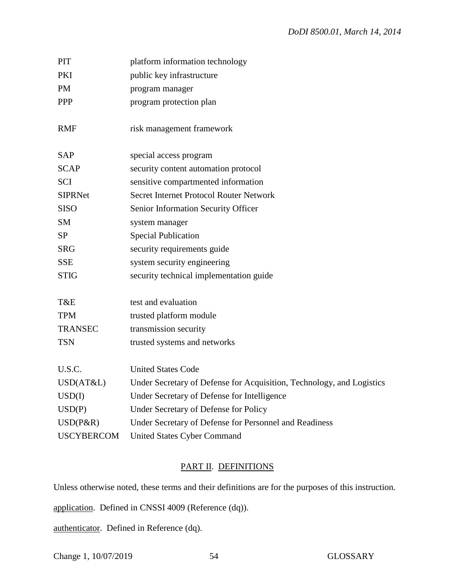| PIT               | platform information technology                                       |
|-------------------|-----------------------------------------------------------------------|
| <b>PKI</b>        | public key infrastructure                                             |
| <b>PM</b>         | program manager                                                       |
| <b>PPP</b>        | program protection plan                                               |
| <b>RMF</b>        | risk management framework                                             |
| <b>SAP</b>        | special access program                                                |
| <b>SCAP</b>       | security content automation protocol                                  |
| <b>SCI</b>        | sensitive compartmented information                                   |
| <b>SIPRNet</b>    | <b>Secret Internet Protocol Router Network</b>                        |
| <b>SISO</b>       | Senior Information Security Officer                                   |
| <b>SM</b>         | system manager                                                        |
| <b>SP</b>         | <b>Special Publication</b>                                            |
| <b>SRG</b>        | security requirements guide                                           |
| <b>SSE</b>        | system security engineering                                           |
| <b>STIG</b>       | security technical implementation guide                               |
| T&E               | test and evaluation                                                   |
| <b>TPM</b>        | trusted platform module                                               |
| <b>TRANSEC</b>    | transmission security                                                 |
| <b>TSN</b>        | trusted systems and networks                                          |
| U.S.C.            | <b>United States Code</b>                                             |
| USD(AT&L)         | Under Secretary of Defense for Acquisition, Technology, and Logistics |
| USD(I)            | Under Secretary of Defense for Intelligence                           |
| USD(P)            | Under Secretary of Defense for Policy                                 |
| $USD(P\&R)$       | Under Secretary of Defense for Personnel and Readiness                |
| <b>USCYBERCOM</b> | <b>United States Cyber Command</b>                                    |

# PART II. DEFINITIONS

Unless otherwise noted, these terms and their definitions are for the purposes of this instruction.

application. Defined in CNSSI 4009 (Reference (dq)).

authenticator. Defined in Reference (dq).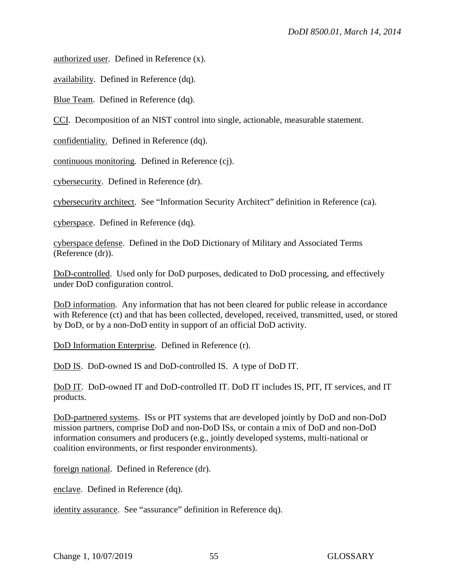authorized user. Defined in Reference (x).

availability. Defined in Reference (dq).

Blue Team. Defined in Reference (dq).

CCI. Decomposition of an NIST control into single, actionable, measurable statement.

confidentiality. Defined in Reference (dq).

continuous monitoring. Defined in Reference (cj).

cybersecurity. Defined in Reference (dr).

cybersecurity architect. See "Information Security Architect" definition in Reference (ca).

cyberspace. Defined in Reference (dq).

cyberspace defense. Defined in the DoD Dictionary of Military and Associated Terms (Reference (dr)).

DoD-controlled. Used only for DoD purposes, dedicated to DoD processing, and effectively under DoD configuration control.

DoD information. Any information that has not been cleared for public release in accordance with Reference (ct) and that has been collected, developed, received, transmitted, used, or stored by DoD, or by a non-DoD entity in support of an official DoD activity.

DoD Information Enterprise. Defined in Reference (r).

DoD IS. DoD-owned IS and DoD-controlled IS. A type of DoD IT.

DoD IT. DoD-owned IT and DoD-controlled IT. DoD IT includes IS, PIT, IT services, and IT products.

DoD-partnered systems. ISs or PIT systems that are developed jointly by DoD and non-DoD mission partners, comprise DoD and non-DoD ISs, or contain a mix of DoD and non-DoD information consumers and producers (e.g., jointly developed systems, multi-national or coalition environments, or first responder environments).

foreign national. Defined in Reference (dr).

enclave. Defined in Reference (dq).

identity assurance. See "assurance" definition in Reference dq).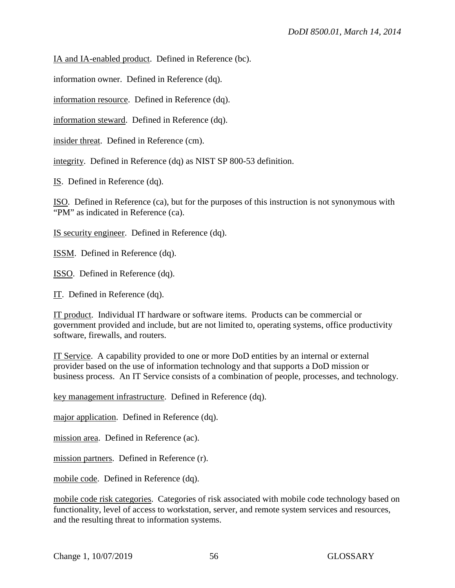IA and IA-enabled product. Defined in Reference (bc).

information owner. Defined in Reference (dq).

information resource. Defined in Reference (dq).

information steward. Defined in Reference (dq).

insider threat. Defined in Reference (cm).

integrity. Defined in Reference (dq) as NIST SP 800-53 definition.

IS. Defined in Reference (dq).

ISO. Defined in Reference (ca), but for the purposes of this instruction is not synonymous with "PM" as indicated in Reference (ca).

IS security engineer. Defined in Reference (dq).

ISSM. Defined in Reference (dq).

ISSO. Defined in Reference (dq).

IT. Defined in Reference (dq).

IT product. Individual IT hardware or software items. Products can be commercial or government provided and include, but are not limited to, operating systems, office productivity software, firewalls, and routers.

IT Service. A capability provided to one or more DoD entities by an internal or external provider based on the use of information technology and that supports a DoD mission or business process. An IT Service consists of a combination of people, processes, and technology.

key management infrastructure. Defined in Reference (dq).

major application. Defined in Reference (dq).

mission area. Defined in Reference (ac).

mission partners. Defined in Reference (r).

mobile code. Defined in Reference (dq).

mobile code risk categories. Categories of risk associated with mobile code technology based on functionality, level of access to workstation, server, and remote system services and resources, and the resulting threat to information systems.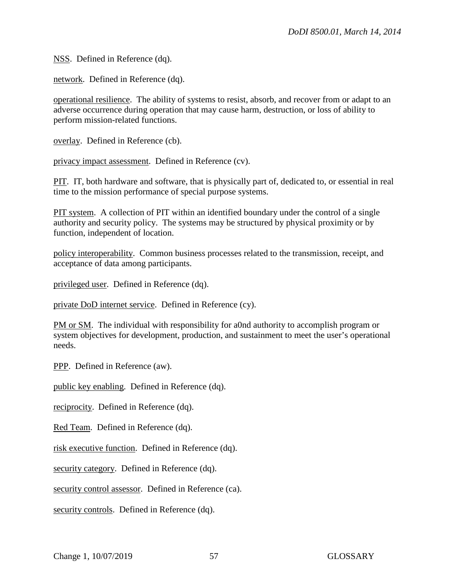NSS. Defined in Reference (dq).

network. Defined in Reference (dq).

operational resilience. The ability of systems to resist, absorb, and recover from or adapt to an adverse occurrence during operation that may cause harm, destruction, or loss of ability to perform mission-related functions.

overlay. Defined in Reference (cb).

privacy impact assessment. Defined in Reference (cv).

PIT. IT, both hardware and software, that is physically part of, dedicated to, or essential in real time to the mission performance of special purpose systems.

PIT system. A collection of PIT within an identified boundary under the control of a single authority and security policy. The systems may be structured by physical proximity or by function, independent of location.

policy interoperability. Common business processes related to the transmission, receipt, and acceptance of data among participants.

privileged user. Defined in Reference (dq).

private DoD internet service. Defined in Reference (cy).

PM or SM. The individual with responsibility for a0nd authority to accomplish program or system objectives for development, production, and sustainment to meet the user's operational needs.

PPP. Defined in Reference (aw).

public key enabling. Defined in Reference (dq).

reciprocity. Defined in Reference (dq).

Red Team. Defined in Reference (dq).

risk executive function. Defined in Reference (dq).

security category. Defined in Reference (dq).

security control assessor. Defined in Reference (ca).

security controls. Defined in Reference (dq).